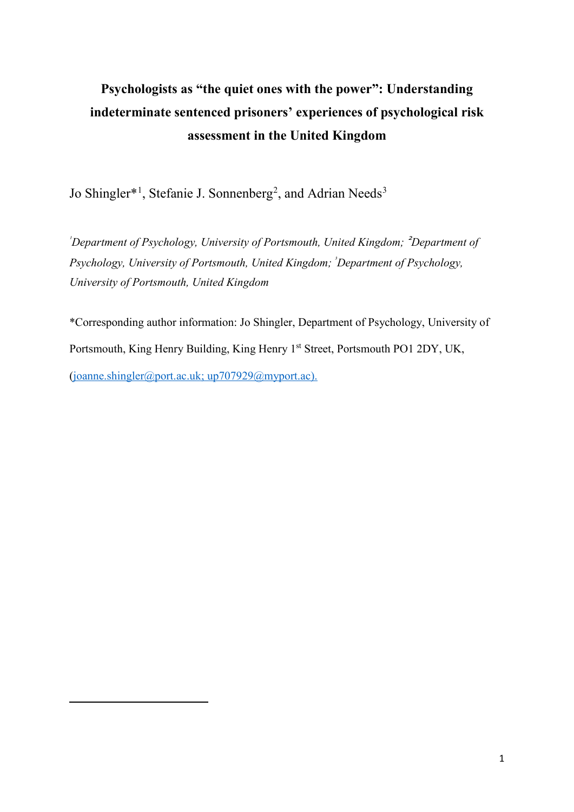# **Psychologists as "the quiet ones with the power": Understanding indeterminate sentenced prisoners' experiences of psychological risk assessment in the United Kingdom**

Jo Shingler\*<sup>[1](#page-0-0)</sup>, Stefanie J. Sonnenberg<sup>[2](#page-0-1)</sup>, and Adrian Needs<sup>[3](#page-0-2)</sup>

<span id="page-0-2"></span><span id="page-0-1"></span><span id="page-0-0"></span> $\overline{a}$ 

<sup>1</sup>Department of Psychology, University of Portsmouth, United Kingdom; <sup>2</sup>Department of *Psychology, University of Portsmouth, United Kingdom; ³ Department of Psychology, University of Portsmouth, United Kingdom*

\*Corresponding author information: Jo Shingler, Department of Psychology, University of Portsmouth, King Henry Building, King Henry 1<sup>st</sup> Street, Portsmouth PO1 2DY, UK, [\(joanne.shingler@port.ac.uk;](mailto:joanne.shingler@port.ac.uk) up707929@myport.ac).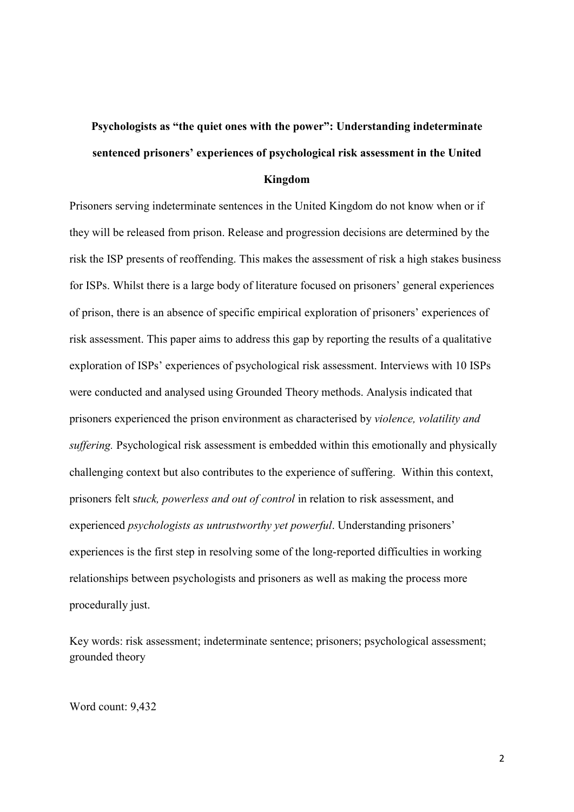# **Psychologists as "the quiet ones with the power": Understanding indeterminate sentenced prisoners' experiences of psychological risk assessment in the United**

# **Kingdom**

Prisoners serving indeterminate sentences in the United Kingdom do not know when or if they will be released from prison. Release and progression decisions are determined by the risk the ISP presents of reoffending. This makes the assessment of risk a high stakes business for ISPs. Whilst there is a large body of literature focused on prisoners' general experiences of prison, there is an absence of specific empirical exploration of prisoners' experiences of risk assessment. This paper aims to address this gap by reporting the results of a qualitative exploration of ISPs' experiences of psychological risk assessment. Interviews with 10 ISPs were conducted and analysed using Grounded Theory methods. Analysis indicated that prisoners experienced the prison environment as characterised by *violence, volatility and suffering.* Psychological risk assessment is embedded within this emotionally and physically challenging context but also contributes to the experience of suffering. Within this context, prisoners felt s*tuck, powerless and out of control* in relation to risk assessment, and experienced *psychologists as untrustworthy yet powerful*. Understanding prisoners' experiences is the first step in resolving some of the long-reported difficulties in working relationships between psychologists and prisoners as well as making the process more procedurally just.

Key words: risk assessment; indeterminate sentence; prisoners; psychological assessment; grounded theory

Word count: 9,432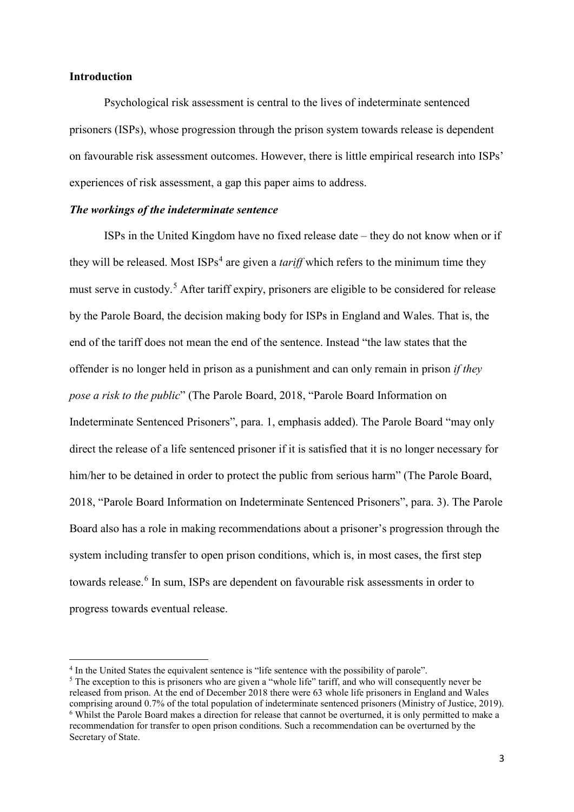#### **Introduction**

 $\overline{a}$ 

Psychological risk assessment is central to the lives of indeterminate sentenced prisoners (ISPs), whose progression through the prison system towards release is dependent on favourable risk assessment outcomes. However, there is little empirical research into ISPs' experiences of risk assessment, a gap this paper aims to address.

# *The workings of the indeterminate sentence*

ISPs in the United Kingdom have no fixed release date – they do not know when or if they will be released. Most  $ISPs<sup>4</sup>$  $ISPs<sup>4</sup>$  $ISPs<sup>4</sup>$  are given a *tariff* which refers to the minimum time they must serve in custody.<sup>[5](#page-2-1)</sup> After tariff expiry, prisoners are eligible to be considered for release by the Parole Board, the decision making body for ISPs in England and Wales. That is, the end of the tariff does not mean the end of the sentence. Instead "the law states that the offender is no longer held in prison as a punishment and can only remain in prison *if they pose a risk to the public*" (The Parole Board, 2018, "Parole Board Information on Indeterminate Sentenced Prisoners", para. 1, emphasis added). The Parole Board "may only direct the release of a life sentenced prisoner if it is satisfied that it is no longer necessary for him/her to be detained in order to protect the public from serious harm" (The Parole Board, 2018, "Parole Board Information on Indeterminate Sentenced Prisoners", para. 3). The Parole Board also has a role in making recommendations about a prisoner's progression through the system including transfer to open prison conditions, which is, in most cases, the first step towards release.<sup>[6](#page-2-2)</sup> In sum, ISPs are dependent on favourable risk assessments in order to progress towards eventual release.

<span id="page-2-0"></span><sup>&</sup>lt;sup>4</sup> In the United States the equivalent sentence is "life sentence with the possibility of parole".

<span id="page-2-2"></span><span id="page-2-1"></span><sup>&</sup>lt;sup>5</sup> The exception to this is prisoners who are given a "whole life" tariff, and who will consequently never be released from prison. At the end of December 2018 there were 63 whole life prisoners in England and Wales comprising around 0.7% of the total population of indeterminate sentenced prisoners (Ministry of Justice, 2019). <sup>6</sup> Whilst the Parole Board makes a direction for release that cannot be overturned, it is only permitted to make a recommendation for transfer to open prison conditions. Such a recommendation can be overturned by the Secretary of State.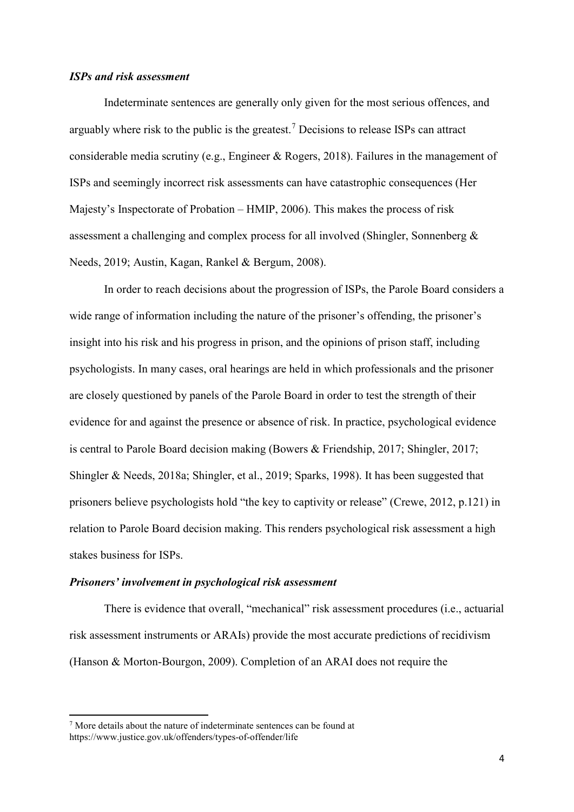#### *ISPs and risk assessment*

Indeterminate sentences are generally only given for the most serious offences, and arguably where risk to the public is the greatest.[7](#page-3-0) Decisions to release ISPs can attract considerable media scrutiny (e.g., Engineer & Rogers, 2018). Failures in the management of ISPs and seemingly incorrect risk assessments can have catastrophic consequences (Her Majesty's Inspectorate of Probation – HMIP, 2006). This makes the process of risk assessment a challenging and complex process for all involved (Shingler, Sonnenberg & Needs, 2019; Austin, Kagan, Rankel & Bergum, 2008).

In order to reach decisions about the progression of ISPs, the Parole Board considers a wide range of information including the nature of the prisoner's offending, the prisoner's insight into his risk and his progress in prison, and the opinions of prison staff, including psychologists. In many cases, oral hearings are held in which professionals and the prisoner are closely questioned by panels of the Parole Board in order to test the strength of their evidence for and against the presence or absence of risk. In practice, psychological evidence is central to Parole Board decision making (Bowers & Friendship, 2017; Shingler, 2017; Shingler & Needs, 2018a; Shingler, et al., 2019; Sparks, 1998). It has been suggested that prisoners believe psychologists hold "the key to captivity or release" (Crewe, 2012, p.121) in relation to Parole Board decision making. This renders psychological risk assessment a high stakes business for ISPs.

#### *Prisoners' involvement in psychological risk assessment*

There is evidence that overall, "mechanical" risk assessment procedures (i.e., actuarial risk assessment instruments or ARAIs) provide the most accurate predictions of recidivism (Hanson & Morton-Bourgon, 2009). Completion of an ARAI does not require the

 $\overline{a}$ 

<span id="page-3-0"></span> $7$  More details about the nature of indeterminate sentences can be found at https://www.justice.gov.uk/offenders/types-of-offender/life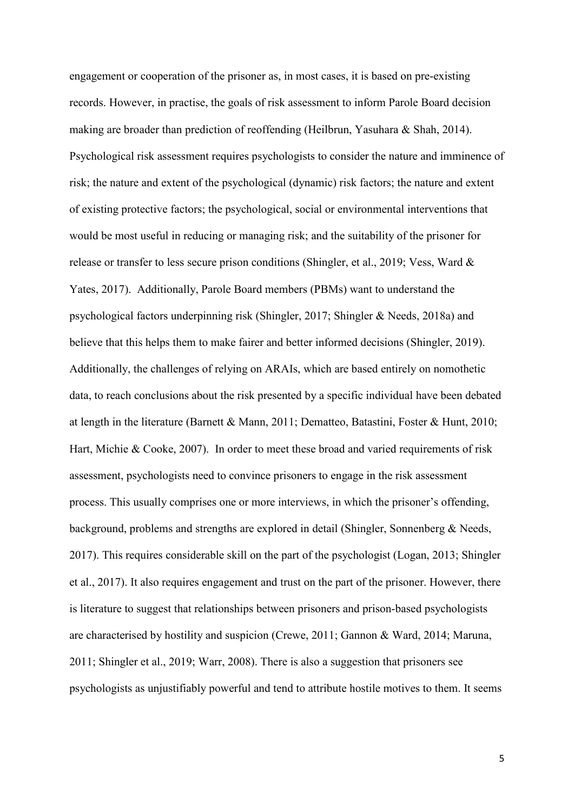engagement or cooperation of the prisoner as, in most cases, it is based on pre-existing records. However, in practise, the goals of risk assessment to inform Parole Board decision making are broader than prediction of reoffending (Heilbrun, Yasuhara & Shah, 2014). Psychological risk assessment requires psychologists to consider the nature and imminence of risk; the nature and extent of the psychological (dynamic) risk factors; the nature and extent of existing protective factors; the psychological, social or environmental interventions that would be most useful in reducing or managing risk; and the suitability of the prisoner for release or transfer to less secure prison conditions (Shingler, et al., 2019; Vess, Ward & Yates, 2017). Additionally, Parole Board members (PBMs) want to understand the psychological factors underpinning risk (Shingler, 2017; Shingler & Needs, 2018a) and believe that this helps them to make fairer and better informed decisions (Shingler, 2019). Additionally, the challenges of relying on ARAIs, which are based entirely on nomothetic data, to reach conclusions about the risk presented by a specific individual have been debated at length in the literature (Barnett & Mann, 2011; Dematteo, Batastini, Foster & Hunt, 2010; Hart, Michie & Cooke, 2007). In order to meet these broad and varied requirements of risk assessment, psychologists need to convince prisoners to engage in the risk assessment process. This usually comprises one or more interviews, in which the prisoner's offending, background, problems and strengths are explored in detail (Shingler, Sonnenberg & Needs, 2017). This requires considerable skill on the part of the psychologist (Logan, 2013; Shingler et al., 2017). It also requires engagement and trust on the part of the prisoner. However, there is literature to suggest that relationships between prisoners and prison-based psychologists are characterised by hostility and suspicion (Crewe, 2011; Gannon & Ward, 2014; Maruna, 2011; Shingler et al., 2019; Warr, 2008). There is also a suggestion that prisoners see psychologists as unjustifiably powerful and tend to attribute hostile motives to them. It seems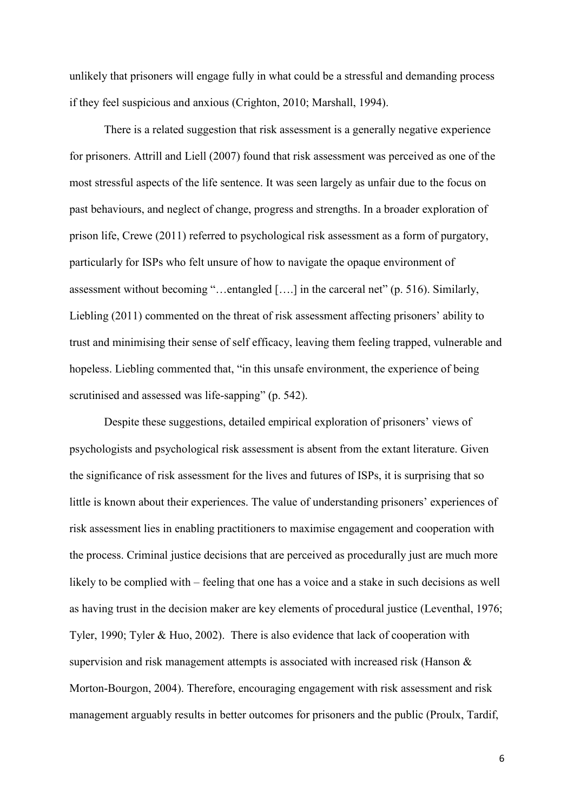unlikely that prisoners will engage fully in what could be a stressful and demanding process if they feel suspicious and anxious (Crighton, 2010; Marshall, 1994).

There is a related suggestion that risk assessment is a generally negative experience for prisoners. Attrill and Liell (2007) found that risk assessment was perceived as one of the most stressful aspects of the life sentence. It was seen largely as unfair due to the focus on past behaviours, and neglect of change, progress and strengths. In a broader exploration of prison life, Crewe (2011) referred to psychological risk assessment as a form of purgatory, particularly for ISPs who felt unsure of how to navigate the opaque environment of assessment without becoming "…entangled [….] in the carceral net" (p. 516). Similarly, Liebling (2011) commented on the threat of risk assessment affecting prisoners' ability to trust and minimising their sense of self efficacy, leaving them feeling trapped, vulnerable and hopeless. Liebling commented that, "in this unsafe environment, the experience of being scrutinised and assessed was life-sapping" (p. 542).

Despite these suggestions, detailed empirical exploration of prisoners' views of psychologists and psychological risk assessment is absent from the extant literature. Given the significance of risk assessment for the lives and futures of ISPs, it is surprising that so little is known about their experiences. The value of understanding prisoners' experiences of risk assessment lies in enabling practitioners to maximise engagement and cooperation with the process. Criminal justice decisions that are perceived as procedurally just are much more likely to be complied with – feeling that one has a voice and a stake in such decisions as well as having trust in the decision maker are key elements of procedural justice (Leventhal, 1976; Tyler, 1990; Tyler & Huo, 2002). There is also evidence that lack of cooperation with supervision and risk management attempts is associated with increased risk (Hanson & Morton-Bourgon, 2004). Therefore, encouraging engagement with risk assessment and risk management arguably results in better outcomes for prisoners and the public (Proulx, Tardif,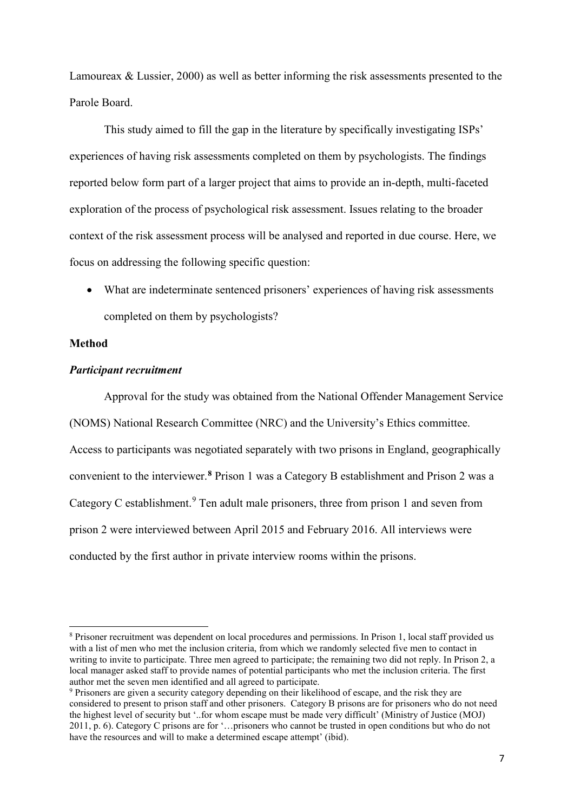Lamoureax & Lussier, 2000) as well as better informing the risk assessments presented to the Parole Board.

This study aimed to fill the gap in the literature by specifically investigating ISPs' experiences of having risk assessments completed on them by psychologists. The findings reported below form part of a larger project that aims to provide an in-depth, multi-faceted exploration of the process of psychological risk assessment. Issues relating to the broader context of the risk assessment process will be analysed and reported in due course. Here, we focus on addressing the following specific question:

• What are indeterminate sentenced prisoners' experiences of having risk assessments completed on them by psychologists?

# **Method**

 $\overline{a}$ 

## *Participant recruitment*

Approval for the study was obtained from the National Offender Management Service (NOMS) National Research Committee (NRC) and the University's Ethics committee. Access to participants was negotiated separately with two prisons in England, geographically convenient to the interviewer.**[8](#page-6-0)** Prison 1 was a Category B establishment and Prison 2 was a Category C establishment.<sup>[9](#page-6-1)</sup> Ten adult male prisoners, three from prison 1 and seven from prison 2 were interviewed between April 2015 and February 2016. All interviews were conducted by the first author in private interview rooms within the prisons.

<span id="page-6-0"></span><sup>8</sup> Prisoner recruitment was dependent on local procedures and permissions. In Prison 1, local staff provided us with a list of men who met the inclusion criteria, from which we randomly selected five men to contact in writing to invite to participate. Three men agreed to participate; the remaining two did not reply. In Prison 2, a local manager asked staff to provide names of potential participants who met the inclusion criteria. The first author met the seven men identified and all agreed to participate.

<span id="page-6-1"></span><sup>9</sup> Prisoners are given a security category depending on their likelihood of escape, and the risk they are considered to present to prison staff and other prisoners. Category B prisons are for prisoners who do not need the highest level of security but '..for whom escape must be made very difficult' (Ministry of Justice (MOJ) 2011, p. 6). Category C prisons are for '…prisoners who cannot be trusted in open conditions but who do not have the resources and will to make a determined escape attempt' (ibid).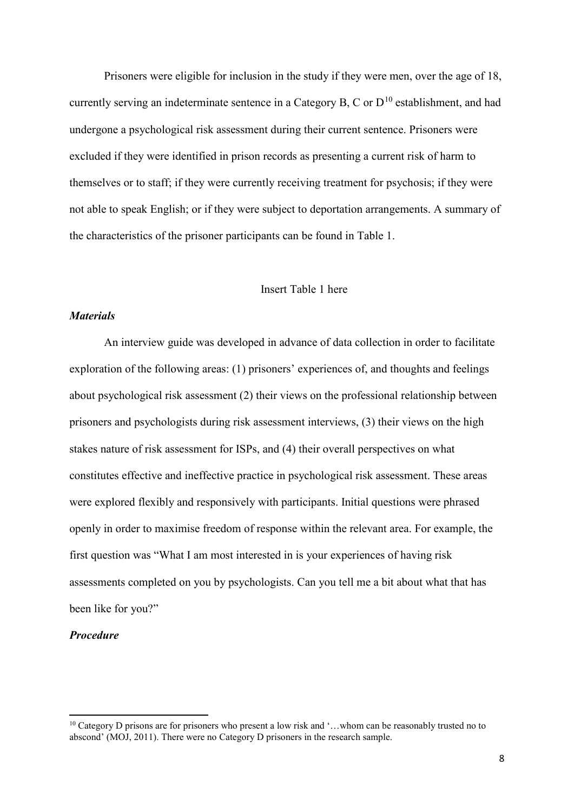Prisoners were eligible for inclusion in the study if they were men, over the age of 18, currently serving an indeterminate sentence in a Category B, C or  $D^{10}$  $D^{10}$  $D^{10}$  establishment, and had undergone a psychological risk assessment during their current sentence. Prisoners were excluded if they were identified in prison records as presenting a current risk of harm to themselves or to staff; if they were currently receiving treatment for psychosis; if they were not able to speak English; or if they were subject to deportation arrangements. A summary of the characteristics of the prisoner participants can be found in Table 1.

#### Insert Table 1 here

#### *Materials*

An interview guide was developed in advance of data collection in order to facilitate exploration of the following areas: (1) prisoners' experiences of, and thoughts and feelings about psychological risk assessment (2) their views on the professional relationship between prisoners and psychologists during risk assessment interviews, (3) their views on the high stakes nature of risk assessment for ISPs, and (4) their overall perspectives on what constitutes effective and ineffective practice in psychological risk assessment. These areas were explored flexibly and responsively with participants. Initial questions were phrased openly in order to maximise freedom of response within the relevant area. For example, the first question was "What I am most interested in is your experiences of having risk assessments completed on you by psychologists. Can you tell me a bit about what that has been like for you?"

#### *Procedure*

 $\overline{a}$ 

<span id="page-7-0"></span><sup>10</sup> Category D prisons are for prisoners who present a low risk and '…whom can be reasonably trusted no to abscond' (MOJ, 2011). There were no Category D prisoners in the research sample.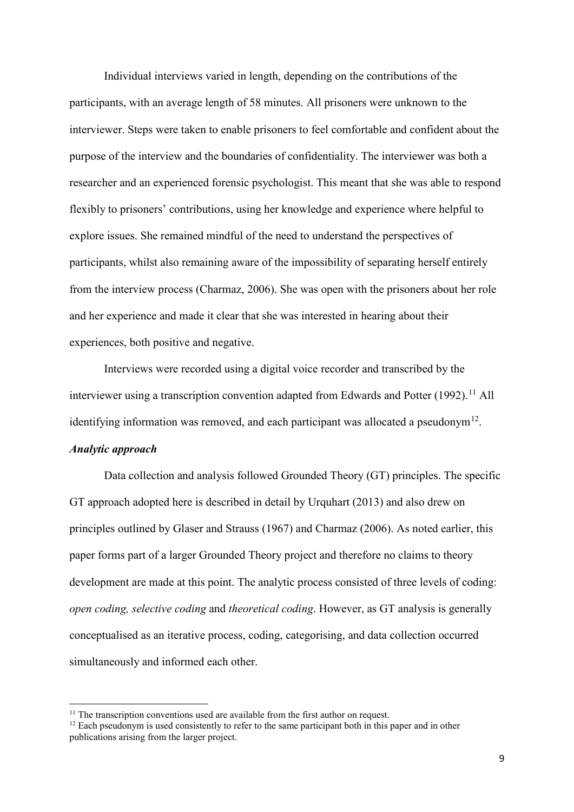Individual interviews varied in length, depending on the contributions of the participants, with an average length of 58 minutes. All prisoners were unknown to the interviewer. Steps were taken to enable prisoners to feel comfortable and confident about the purpose of the interview and the boundaries of confidentiality. The interviewer was both a researcher and an experienced forensic psychologist. This meant that she was able to respond flexibly to prisoners' contributions, using her knowledge and experience where helpful to explore issues. She remained mindful of the need to understand the perspectives of participants, whilst also remaining aware of the impossibility of separating herself entirely from the interview process (Charmaz, 2006). She was open with the prisoners about her role and her experience and made it clear that she was interested in hearing about their experiences, both positive and negative.

Interviews were recorded using a digital voice recorder and transcribed by the interviewer using a transcription convention adapted from Edwards and Potter  $(1992)$ .<sup>[11](#page-8-0)</sup> All identifying information was removed, and each participant was allocated a pseudonym<sup>12</sup>. *Analytic approach*

Data collection and analysis followed Grounded Theory (GT) principles. The specific GT approach adopted here is described in detail by Urquhart (2013) and also drew on principles outlined by Glaser and Strauss (1967) and Charmaz (2006). As noted earlier, this paper forms part of a larger Grounded Theory project and therefore no claims to theory development are made at this point. The analytic process consisted of three levels of coding: *open coding, selective coding* and *theoretical coding*. However, as GT analysis is generally conceptualised as an iterative process, coding, categorising, and data collection occurred simultaneously and informed each other.

**.** 

<span id="page-8-0"></span> $11$  The transcription conventions used are available from the first author on request.

<span id="page-8-1"></span> $12$  Each pseudonym is used consistently to refer to the same participant both in this paper and in other publications arising from the larger project.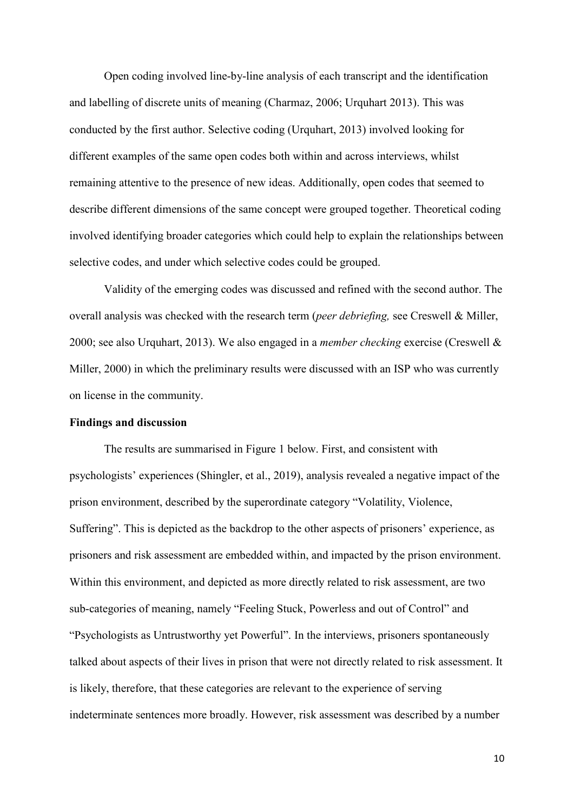Open coding involved line-by-line analysis of each transcript and the identification and labelling of discrete units of meaning (Charmaz, 2006; Urquhart 2013). This was conducted by the first author. Selective coding (Urquhart, 2013) involved looking for different examples of the same open codes both within and across interviews, whilst remaining attentive to the presence of new ideas. Additionally, open codes that seemed to describe different dimensions of the same concept were grouped together. Theoretical coding involved identifying broader categories which could help to explain the relationships between selective codes, and under which selective codes could be grouped.

Validity of the emerging codes was discussed and refined with the second author. The overall analysis was checked with the research term (*peer debriefing,* see Creswell & Miller, 2000; see also Urquhart, 2013). We also engaged in a *member checking* exercise (Creswell & Miller, 2000) in which the preliminary results were discussed with an ISP who was currently on license in the community.

#### **Findings and discussion**

The results are summarised in Figure 1 below. First, and consistent with psychologists' experiences (Shingler, et al., 2019), analysis revealed a negative impact of the prison environment, described by the superordinate category "Volatility, Violence, Suffering". This is depicted as the backdrop to the other aspects of prisoners' experience, as prisoners and risk assessment are embedded within, and impacted by the prison environment. Within this environment, and depicted as more directly related to risk assessment, are two sub-categories of meaning, namely "Feeling Stuck, Powerless and out of Control" and "Psychologists as Untrustworthy yet Powerful". In the interviews, prisoners spontaneously talked about aspects of their lives in prison that were not directly related to risk assessment. It is likely, therefore, that these categories are relevant to the experience of serving indeterminate sentences more broadly. However, risk assessment was described by a number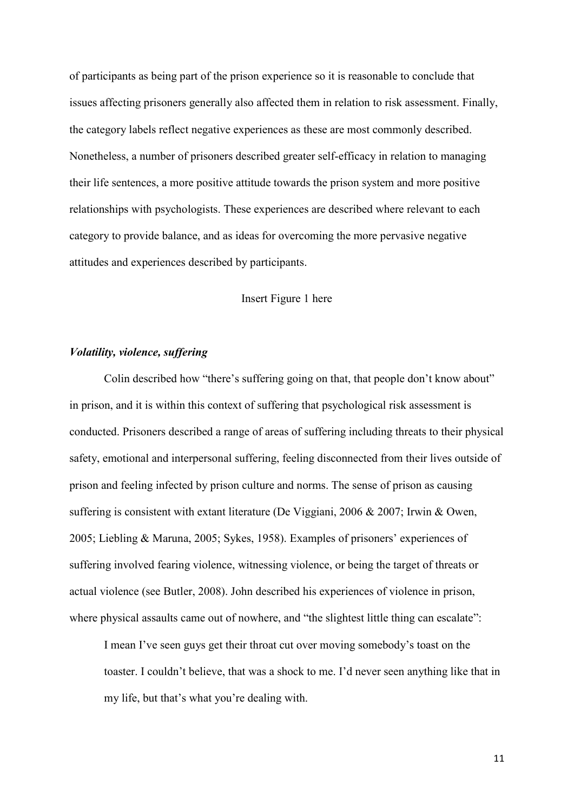of participants as being part of the prison experience so it is reasonable to conclude that issues affecting prisoners generally also affected them in relation to risk assessment. Finally, the category labels reflect negative experiences as these are most commonly described. Nonetheless, a number of prisoners described greater self-efficacy in relation to managing their life sentences, a more positive attitude towards the prison system and more positive relationships with psychologists. These experiences are described where relevant to each category to provide balance, and as ideas for overcoming the more pervasive negative attitudes and experiences described by participants.

# Insert Figure 1 here

# *Volatility, violence, suffering*

Colin described how "there's suffering going on that, that people don't know about" in prison, and it is within this context of suffering that psychological risk assessment is conducted. Prisoners described a range of areas of suffering including threats to their physical safety, emotional and interpersonal suffering, feeling disconnected from their lives outside of prison and feeling infected by prison culture and norms. The sense of prison as causing suffering is consistent with extant literature (De Viggiani, 2006 & 2007; Irwin & Owen, 2005; Liebling & Maruna, 2005; Sykes, 1958). Examples of prisoners' experiences of suffering involved fearing violence, witnessing violence, or being the target of threats or actual violence (see Butler, 2008). John described his experiences of violence in prison, where physical assaults came out of nowhere, and "the slightest little thing can escalate":

I mean I've seen guys get their throat cut over moving somebody's toast on the toaster. I couldn't believe, that was a shock to me. I'd never seen anything like that in my life, but that's what you're dealing with.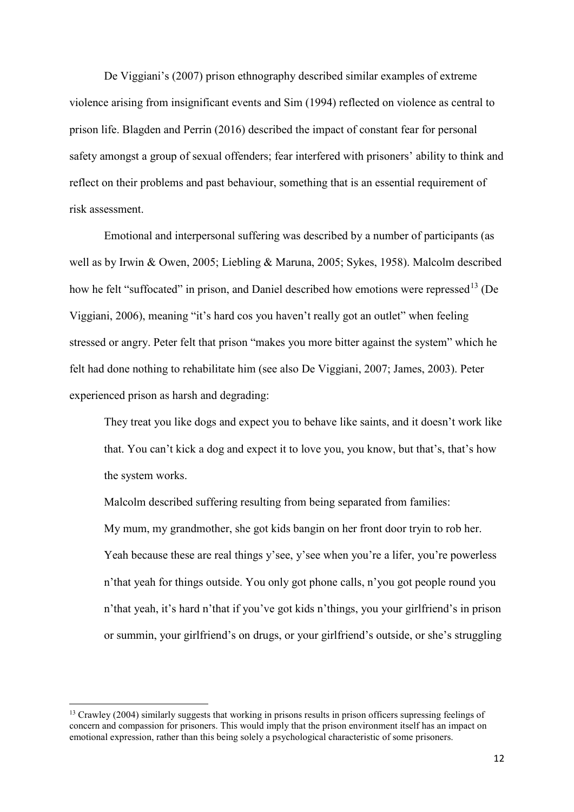De Viggiani's (2007) prison ethnography described similar examples of extreme violence arising from insignificant events and Sim (1994) reflected on violence as central to prison life. Blagden and Perrin (2016) described the impact of constant fear for personal safety amongst a group of sexual offenders; fear interfered with prisoners' ability to think and reflect on their problems and past behaviour, something that is an essential requirement of risk assessment.

Emotional and interpersonal suffering was described by a number of participants (as well as by Irwin & Owen, 2005; Liebling & Maruna, 2005; Sykes, 1958). Malcolm described how he felt "suffocated" in prison, and Daniel described how emotions were repressed<sup>[13](#page-11-0)</sup> (De Viggiani, 2006), meaning "it's hard cos you haven't really got an outlet" when feeling stressed or angry. Peter felt that prison "makes you more bitter against the system" which he felt had done nothing to rehabilitate him (see also De Viggiani, 2007; James, 2003). Peter experienced prison as harsh and degrading:

They treat you like dogs and expect you to behave like saints, and it doesn't work like that. You can't kick a dog and expect it to love you, you know, but that's, that's how the system works.

Malcolm described suffering resulting from being separated from families: My mum, my grandmother, she got kids bangin on her front door tryin to rob her. Yeah because these are real things y'see, y'see when you're a lifer, you're powerless n'that yeah for things outside. You only got phone calls, n'you got people round you n'that yeah, it's hard n'that if you've got kids n'things, you your girlfriend's in prison or summin, your girlfriend's on drugs, or your girlfriend's outside, or she's struggling

**.** 

<span id="page-11-0"></span><sup>&</sup>lt;sup>13</sup> Crawley (2004) similarly suggests that working in prisons results in prison officers supressing feelings of concern and compassion for prisoners. This would imply that the prison environment itself has an impact on emotional expression, rather than this being solely a psychological characteristic of some prisoners.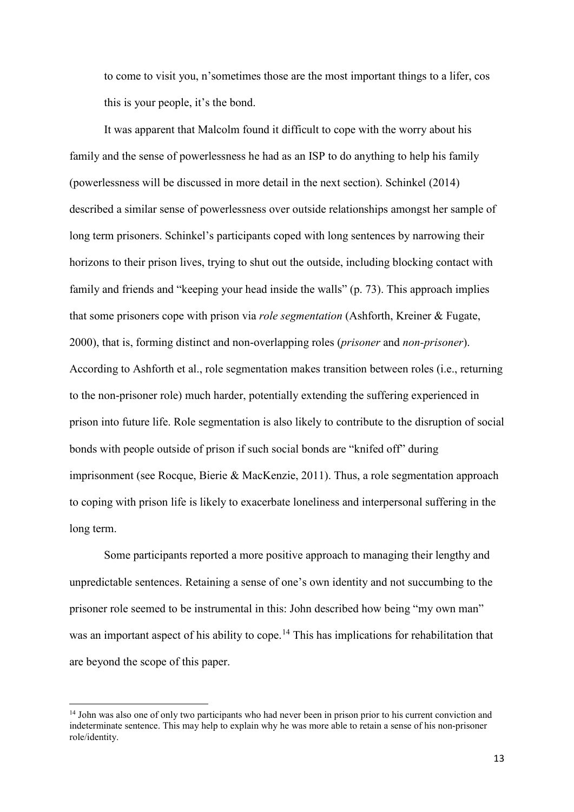to come to visit you, n'sometimes those are the most important things to a lifer, cos this is your people, it's the bond.

It was apparent that Malcolm found it difficult to cope with the worry about his family and the sense of powerlessness he had as an ISP to do anything to help his family (powerlessness will be discussed in more detail in the next section). Schinkel (2014) described a similar sense of powerlessness over outside relationships amongst her sample of long term prisoners. Schinkel's participants coped with long sentences by narrowing their horizons to their prison lives, trying to shut out the outside, including blocking contact with family and friends and "keeping your head inside the walls" (p. 73). This approach implies that some prisoners cope with prison via *role segmentation* (Ashforth, Kreiner & Fugate, 2000), that is, forming distinct and non-overlapping roles (*prisoner* and *non-prisoner*). According to Ashforth et al., role segmentation makes transition between roles (i.e., returning to the non-prisoner role) much harder, potentially extending the suffering experienced in prison into future life. Role segmentation is also likely to contribute to the disruption of social bonds with people outside of prison if such social bonds are "knifed off" during imprisonment (see Rocque, Bierie & MacKenzie, 2011). Thus, a role segmentation approach to coping with prison life is likely to exacerbate loneliness and interpersonal suffering in the long term.

Some participants reported a more positive approach to managing their lengthy and unpredictable sentences. Retaining a sense of one's own identity and not succumbing to the prisoner role seemed to be instrumental in this: John described how being "my own man" was an important aspect of his ability to cope.<sup>[14](#page-12-0)</sup> This has implications for rehabilitation that are beyond the scope of this paper.

**.** 

<span id="page-12-0"></span><sup>&</sup>lt;sup>14</sup> John was also one of only two participants who had never been in prison prior to his current conviction and indeterminate sentence. This may help to explain why he was more able to retain a sense of his non-prisoner role/identity.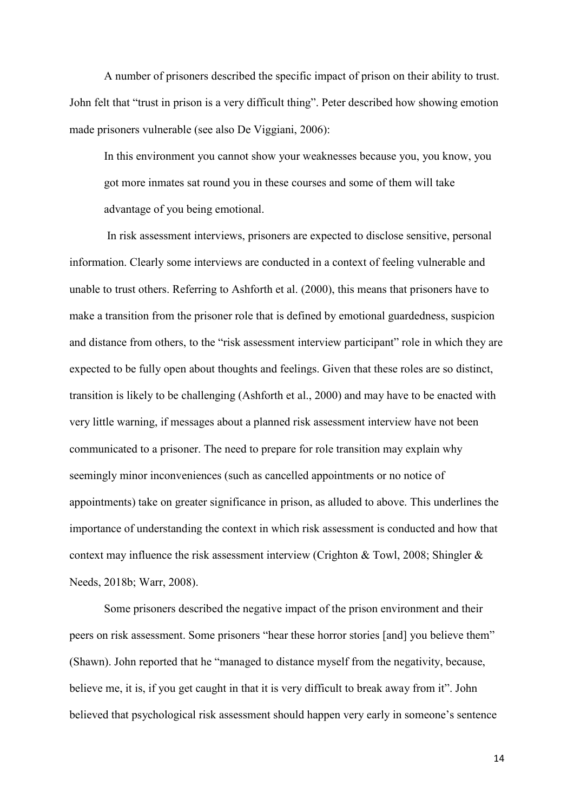A number of prisoners described the specific impact of prison on their ability to trust. John felt that "trust in prison is a very difficult thing". Peter described how showing emotion made prisoners vulnerable (see also De Viggiani, 2006):

In this environment you cannot show your weaknesses because you, you know, you got more inmates sat round you in these courses and some of them will take advantage of you being emotional.

In risk assessment interviews, prisoners are expected to disclose sensitive, personal information. Clearly some interviews are conducted in a context of feeling vulnerable and unable to trust others. Referring to Ashforth et al. (2000), this means that prisoners have to make a transition from the prisoner role that is defined by emotional guardedness, suspicion and distance from others, to the "risk assessment interview participant" role in which they are expected to be fully open about thoughts and feelings. Given that these roles are so distinct, transition is likely to be challenging (Ashforth et al., 2000) and may have to be enacted with very little warning, if messages about a planned risk assessment interview have not been communicated to a prisoner. The need to prepare for role transition may explain why seemingly minor inconveniences (such as cancelled appointments or no notice of appointments) take on greater significance in prison, as alluded to above. This underlines the importance of understanding the context in which risk assessment is conducted and how that context may influence the risk assessment interview (Crighton & Towl, 2008; Shingler & Needs, 2018b; Warr, 2008).

Some prisoners described the negative impact of the prison environment and their peers on risk assessment. Some prisoners "hear these horror stories [and] you believe them" (Shawn). John reported that he "managed to distance myself from the negativity, because, believe me, it is, if you get caught in that it is very difficult to break away from it". John believed that psychological risk assessment should happen very early in someone's sentence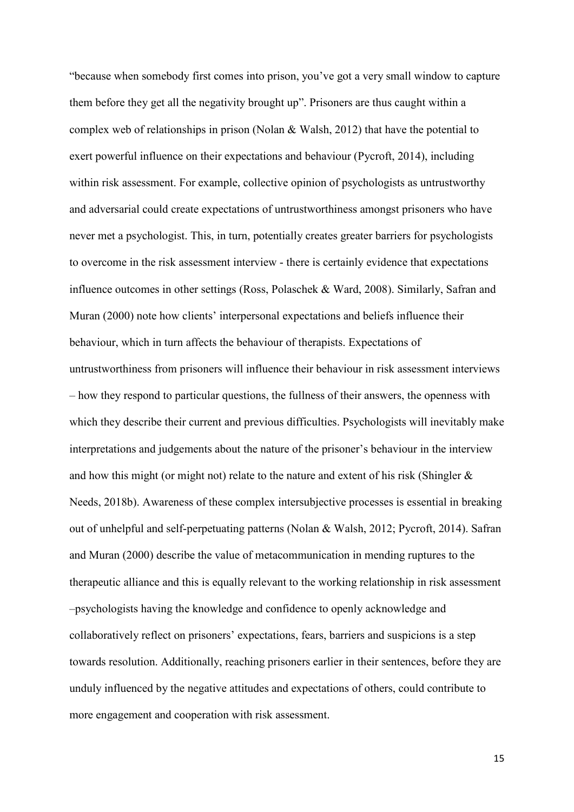"because when somebody first comes into prison, you've got a very small window to capture them before they get all the negativity brought up". Prisoners are thus caught within a complex web of relationships in prison (Nolan & Walsh, 2012) that have the potential to exert powerful influence on their expectations and behaviour (Pycroft, 2014), including within risk assessment. For example, collective opinion of psychologists as untrustworthy and adversarial could create expectations of untrustworthiness amongst prisoners who have never met a psychologist. This, in turn, potentially creates greater barriers for psychologists to overcome in the risk assessment interview - there is certainly evidence that expectations influence outcomes in other settings (Ross, Polaschek & Ward, 2008). Similarly, Safran and Muran (2000) note how clients' interpersonal expectations and beliefs influence their behaviour, which in turn affects the behaviour of therapists. Expectations of untrustworthiness from prisoners will influence their behaviour in risk assessment interviews – how they respond to particular questions, the fullness of their answers, the openness with which they describe their current and previous difficulties. Psychologists will inevitably make interpretations and judgements about the nature of the prisoner's behaviour in the interview and how this might (or might not) relate to the nature and extent of his risk (Shingler & Needs, 2018b). Awareness of these complex intersubjective processes is essential in breaking out of unhelpful and self-perpetuating patterns (Nolan & Walsh, 2012; Pycroft, 2014). Safran and Muran (2000) describe the value of metacommunication in mending ruptures to the therapeutic alliance and this is equally relevant to the working relationship in risk assessment –psychologists having the knowledge and confidence to openly acknowledge and collaboratively reflect on prisoners' expectations, fears, barriers and suspicions is a step towards resolution. Additionally, reaching prisoners earlier in their sentences, before they are unduly influenced by the negative attitudes and expectations of others, could contribute to more engagement and cooperation with risk assessment.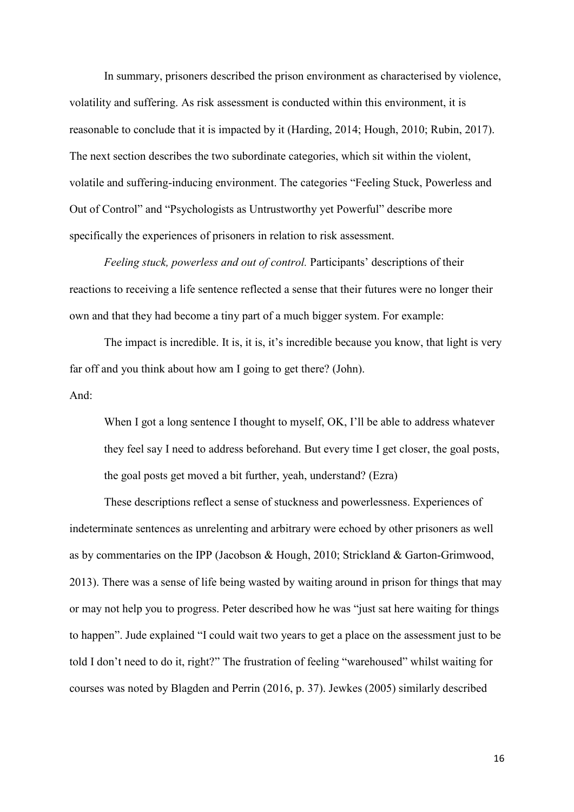In summary, prisoners described the prison environment as characterised by violence, volatility and suffering. As risk assessment is conducted within this environment, it is reasonable to conclude that it is impacted by it (Harding, 2014; Hough, 2010; Rubin, 2017). The next section describes the two subordinate categories, which sit within the violent, volatile and suffering-inducing environment. The categories "Feeling Stuck, Powerless and Out of Control" and "Psychologists as Untrustworthy yet Powerful" describe more specifically the experiences of prisoners in relation to risk assessment.

*Feeling stuck, powerless and out of control.* Participants' descriptions of their reactions to receiving a life sentence reflected a sense that their futures were no longer their own and that they had become a tiny part of a much bigger system. For example:

The impact is incredible. It is, it is, it's incredible because you know, that light is very far off and you think about how am I going to get there? (John).

And:

When I got a long sentence I thought to myself, OK, I'll be able to address whatever they feel say I need to address beforehand. But every time I get closer, the goal posts, the goal posts get moved a bit further, yeah, understand? (Ezra)

These descriptions reflect a sense of stuckness and powerlessness. Experiences of indeterminate sentences as unrelenting and arbitrary were echoed by other prisoners as well as by commentaries on the IPP (Jacobson & Hough, 2010; Strickland & Garton-Grimwood, 2013). There was a sense of life being wasted by waiting around in prison for things that may or may not help you to progress. Peter described how he was "just sat here waiting for things to happen". Jude explained "I could wait two years to get a place on the assessment just to be told I don't need to do it, right?" The frustration of feeling "warehoused" whilst waiting for courses was noted by Blagden and Perrin (2016, p. 37). Jewkes (2005) similarly described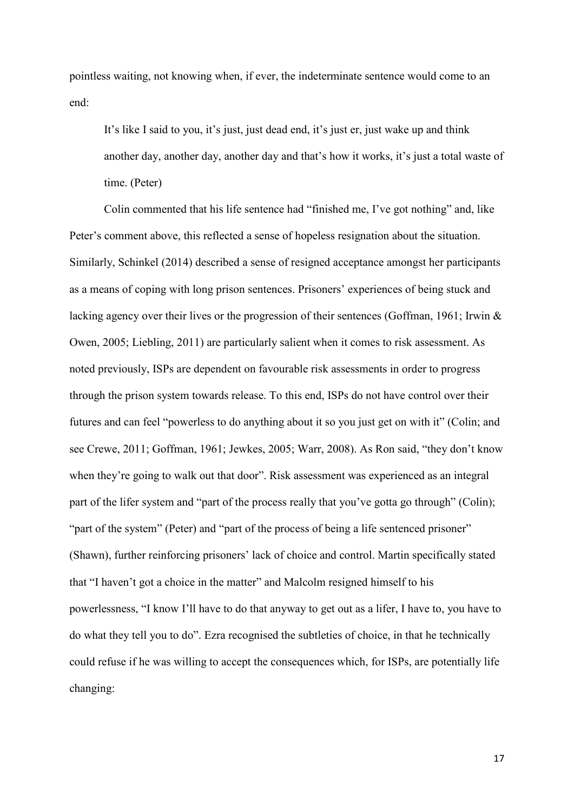pointless waiting, not knowing when, if ever, the indeterminate sentence would come to an end:

It's like I said to you, it's just, just dead end, it's just er, just wake up and think another day, another day, another day and that's how it works, it's just a total waste of time. (Peter)

Colin commented that his life sentence had "finished me, I've got nothing" and, like Peter's comment above, this reflected a sense of hopeless resignation about the situation. Similarly, Schinkel (2014) described a sense of resigned acceptance amongst her participants as a means of coping with long prison sentences. Prisoners' experiences of being stuck and lacking agency over their lives or the progression of their sentences (Goffman, 1961; Irwin & Owen, 2005; Liebling, 2011) are particularly salient when it comes to risk assessment. As noted previously, ISPs are dependent on favourable risk assessments in order to progress through the prison system towards release. To this end, ISPs do not have control over their futures and can feel "powerless to do anything about it so you just get on with it" (Colin; and see Crewe, 2011; Goffman, 1961; Jewkes, 2005; Warr, 2008). As Ron said, "they don't know when they're going to walk out that door". Risk assessment was experienced as an integral part of the lifer system and "part of the process really that you've gotta go through" (Colin); "part of the system" (Peter) and "part of the process of being a life sentenced prisoner" (Shawn), further reinforcing prisoners' lack of choice and control. Martin specifically stated that "I haven't got a choice in the matter" and Malcolm resigned himself to his powerlessness, "I know I'll have to do that anyway to get out as a lifer, I have to, you have to do what they tell you to do". Ezra recognised the subtleties of choice, in that he technically could refuse if he was willing to accept the consequences which, for ISPs, are potentially life changing: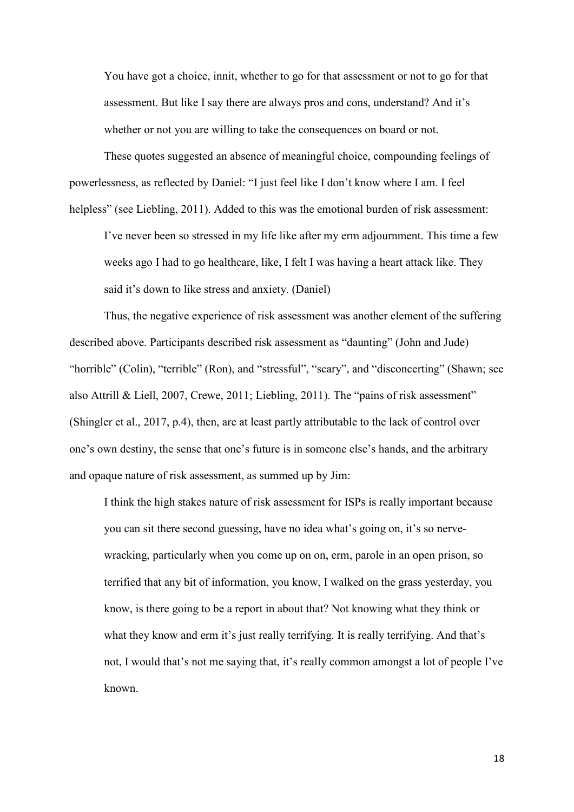You have got a choice, innit, whether to go for that assessment or not to go for that assessment. But like I say there are always pros and cons, understand? And it's whether or not you are willing to take the consequences on board or not.

These quotes suggested an absence of meaningful choice, compounding feelings of powerlessness, as reflected by Daniel: "I just feel like I don't know where I am. I feel

helpless" (see Liebling, 2011). Added to this was the emotional burden of risk assessment:

I've never been so stressed in my life like after my erm adjournment. This time a few weeks ago I had to go healthcare, like, I felt I was having a heart attack like. They said it's down to like stress and anxiety. (Daniel)

Thus, the negative experience of risk assessment was another element of the suffering described above. Participants described risk assessment as "daunting" (John and Jude) "horrible" (Colin), "terrible" (Ron), and "stressful", "scary", and "disconcerting" (Shawn; see also Attrill & Liell, 2007, Crewe, 2011; Liebling, 2011). The "pains of risk assessment" (Shingler et al., 2017, p.4), then, are at least partly attributable to the lack of control over one's own destiny, the sense that one's future is in someone else's hands, and the arbitrary and opaque nature of risk assessment, as summed up by Jim:

I think the high stakes nature of risk assessment for ISPs is really important because you can sit there second guessing, have no idea what's going on, it's so nervewracking, particularly when you come up on on, erm, parole in an open prison, so terrified that any bit of information, you know, I walked on the grass yesterday, you know, is there going to be a report in about that? Not knowing what they think or what they know and erm it's just really terrifying. It is really terrifying. And that's not, I would that's not me saying that, it's really common amongst a lot of people I've known.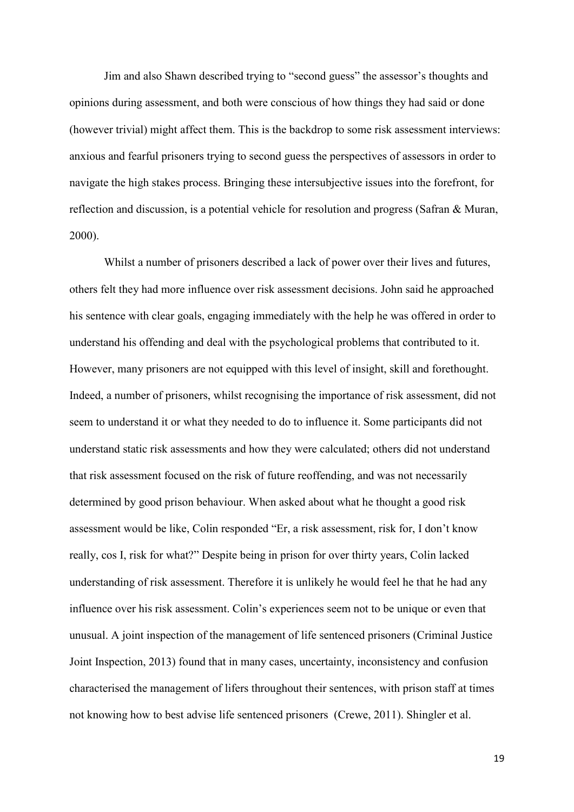Jim and also Shawn described trying to "second guess" the assessor's thoughts and opinions during assessment, and both were conscious of how things they had said or done (however trivial) might affect them. This is the backdrop to some risk assessment interviews: anxious and fearful prisoners trying to second guess the perspectives of assessors in order to navigate the high stakes process. Bringing these intersubjective issues into the forefront, for reflection and discussion, is a potential vehicle for resolution and progress (Safran & Muran, 2000).

Whilst a number of prisoners described a lack of power over their lives and futures, others felt they had more influence over risk assessment decisions. John said he approached his sentence with clear goals, engaging immediately with the help he was offered in order to understand his offending and deal with the psychological problems that contributed to it. However, many prisoners are not equipped with this level of insight, skill and forethought. Indeed, a number of prisoners, whilst recognising the importance of risk assessment, did not seem to understand it or what they needed to do to influence it. Some participants did not understand static risk assessments and how they were calculated; others did not understand that risk assessment focused on the risk of future reoffending, and was not necessarily determined by good prison behaviour. When asked about what he thought a good risk assessment would be like, Colin responded "Er, a risk assessment, risk for, I don't know really, cos I, risk for what?" Despite being in prison for over thirty years, Colin lacked understanding of risk assessment. Therefore it is unlikely he would feel he that he had any influence over his risk assessment. Colin's experiences seem not to be unique or even that unusual. A joint inspection of the management of life sentenced prisoners (Criminal Justice Joint Inspection, 2013) found that in many cases, uncertainty, inconsistency and confusion characterised the management of lifers throughout their sentences, with prison staff at times not knowing how to best advise life sentenced prisoners (Crewe, 2011). Shingler et al.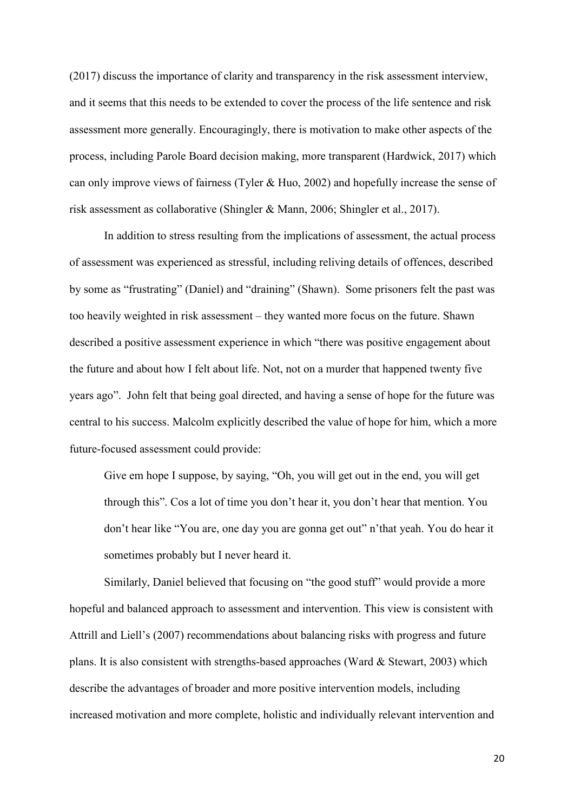(2017) discuss the importance of clarity and transparency in the risk assessment interview, and it seems that this needs to be extended to cover the process of the life sentence and risk assessment more generally. Encouragingly, there is motivation to make other aspects of the process, including Parole Board decision making, more transparent (Hardwick, 2017) which can only improve views of fairness (Tyler & Huo, 2002) and hopefully increase the sense of risk assessment as collaborative (Shingler & Mann, 2006; Shingler et al., 2017).

In addition to stress resulting from the implications of assessment, the actual process of assessment was experienced as stressful, including reliving details of offences, described by some as "frustrating" (Daniel) and "draining" (Shawn). Some prisoners felt the past was too heavily weighted in risk assessment – they wanted more focus on the future. Shawn described a positive assessment experience in which "there was positive engagement about the future and about how I felt about life. Not, not on a murder that happened twenty five years ago". John felt that being goal directed, and having a sense of hope for the future was central to his success. Malcolm explicitly described the value of hope for him, which a more future-focused assessment could provide:

Give em hope I suppose, by saying, "Oh, you will get out in the end, you will get through this". Cos a lot of time you don't hear it, you don't hear that mention. You don't hear like "You are, one day you are gonna get out" n'that yeah. You do hear it sometimes probably but I never heard it.

Similarly, Daniel believed that focusing on "the good stuff" would provide a more hopeful and balanced approach to assessment and intervention. This view is consistent with Attrill and Liell's (2007) recommendations about balancing risks with progress and future plans. It is also consistent with strengths-based approaches (Ward & Stewart, 2003) which describe the advantages of broader and more positive intervention models, including increased motivation and more complete, holistic and individually relevant intervention and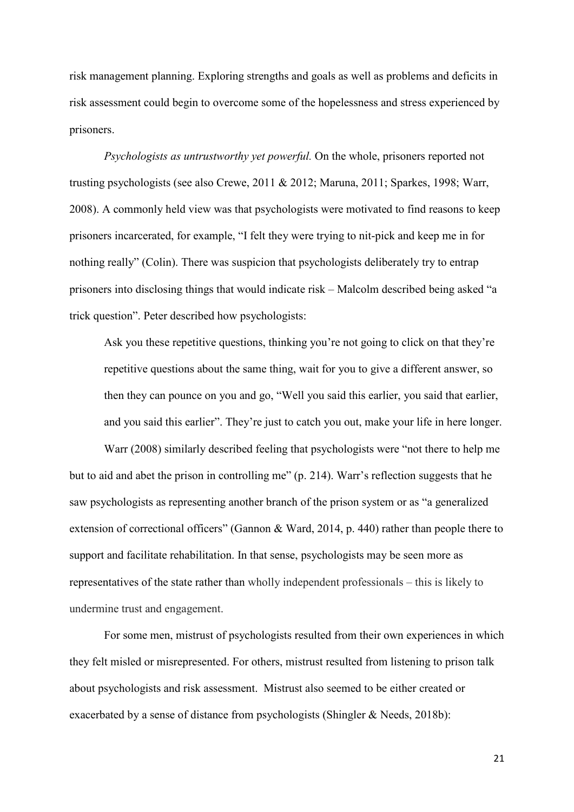risk management planning. Exploring strengths and goals as well as problems and deficits in risk assessment could begin to overcome some of the hopelessness and stress experienced by prisoners.

*Psychologists as untrustworthy yet powerful.* On the whole, prisoners reported not trusting psychologists (see also Crewe, 2011 & 2012; Maruna, 2011; Sparkes, 1998; Warr, 2008). A commonly held view was that psychologists were motivated to find reasons to keep prisoners incarcerated, for example, "I felt they were trying to nit-pick and keep me in for nothing really" (Colin). There was suspicion that psychologists deliberately try to entrap prisoners into disclosing things that would indicate risk – Malcolm described being asked "a trick question". Peter described how psychologists:

Ask you these repetitive questions, thinking you're not going to click on that they're repetitive questions about the same thing, wait for you to give a different answer, so then they can pounce on you and go, "Well you said this earlier, you said that earlier, and you said this earlier". They're just to catch you out, make your life in here longer.

Warr (2008) similarly described feeling that psychologists were "not there to help me but to aid and abet the prison in controlling me" (p. 214). Warr's reflection suggests that he saw psychologists as representing another branch of the prison system or as "a generalized extension of correctional officers" (Gannon & Ward, 2014, p. 440) rather than people there to support and facilitate rehabilitation. In that sense, psychologists may be seen more as representatives of the state rather than wholly independent professionals – this is likely to undermine trust and engagement.

For some men, mistrust of psychologists resulted from their own experiences in which they felt misled or misrepresented. For others, mistrust resulted from listening to prison talk about psychologists and risk assessment. Mistrust also seemed to be either created or exacerbated by a sense of distance from psychologists (Shingler & Needs, 2018b):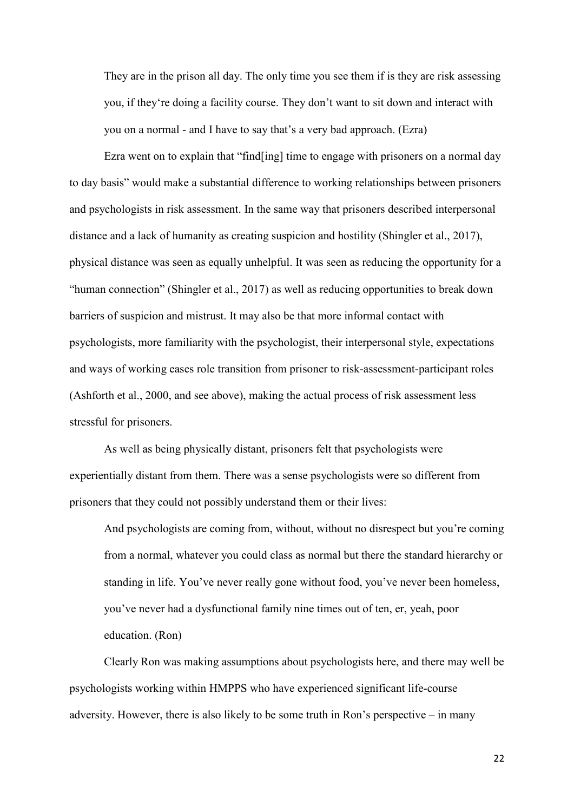They are in the prison all day. The only time you see them if is they are risk assessing you, if they're doing a facility course. They don't want to sit down and interact with you on a normal - and I have to say that's a very bad approach. (Ezra)

Ezra went on to explain that "find[ing] time to engage with prisoners on a normal day to day basis" would make a substantial difference to working relationships between prisoners and psychologists in risk assessment. In the same way that prisoners described interpersonal distance and a lack of humanity as creating suspicion and hostility (Shingler et al., 2017), physical distance was seen as equally unhelpful. It was seen as reducing the opportunity for a "human connection" (Shingler et al., 2017) as well as reducing opportunities to break down barriers of suspicion and mistrust. It may also be that more informal contact with psychologists, more familiarity with the psychologist, their interpersonal style, expectations and ways of working eases role transition from prisoner to risk-assessment-participant roles (Ashforth et al., 2000, and see above), making the actual process of risk assessment less stressful for prisoners.

As well as being physically distant, prisoners felt that psychologists were experientially distant from them. There was a sense psychologists were so different from prisoners that they could not possibly understand them or their lives:

And psychologists are coming from, without, without no disrespect but you're coming from a normal, whatever you could class as normal but there the standard hierarchy or standing in life. You've never really gone without food, you've never been homeless, you've never had a dysfunctional family nine times out of ten, er, yeah, poor education. (Ron)

Clearly Ron was making assumptions about psychologists here, and there may well be psychologists working within HMPPS who have experienced significant life-course adversity. However, there is also likely to be some truth in Ron's perspective – in many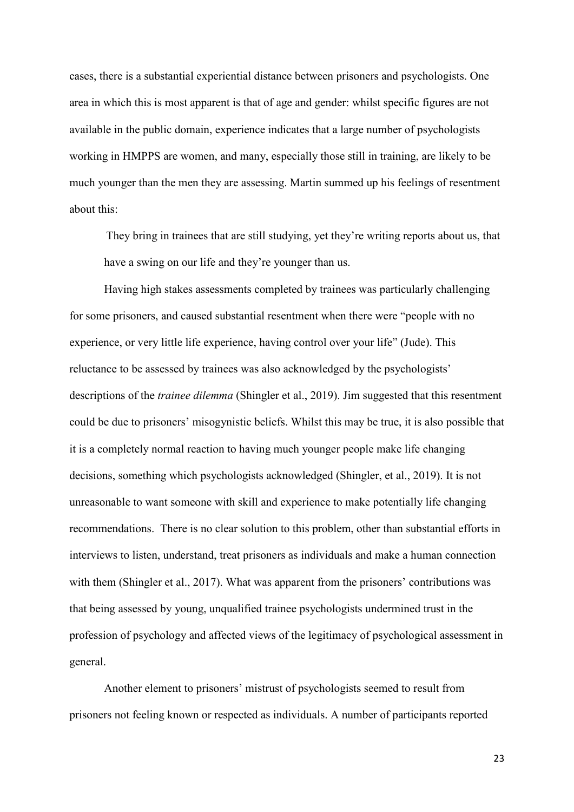cases, there is a substantial experiential distance between prisoners and psychologists. One area in which this is most apparent is that of age and gender: whilst specific figures are not available in the public domain, experience indicates that a large number of psychologists working in HMPPS are women, and many, especially those still in training, are likely to be much younger than the men they are assessing. Martin summed up his feelings of resentment about this:

They bring in trainees that are still studying, yet they're writing reports about us, that have a swing on our life and they're younger than us.

Having high stakes assessments completed by trainees was particularly challenging for some prisoners, and caused substantial resentment when there were "people with no experience, or very little life experience, having control over your life" (Jude). This reluctance to be assessed by trainees was also acknowledged by the psychologists' descriptions of the *trainee dilemma* (Shingler et al., 2019). Jim suggested that this resentment could be due to prisoners' misogynistic beliefs. Whilst this may be true, it is also possible that it is a completely normal reaction to having much younger people make life changing decisions, something which psychologists acknowledged (Shingler, et al., 2019). It is not unreasonable to want someone with skill and experience to make potentially life changing recommendations. There is no clear solution to this problem, other than substantial efforts in interviews to listen, understand, treat prisoners as individuals and make a human connection with them (Shingler et al., 2017). What was apparent from the prisoners' contributions was that being assessed by young, unqualified trainee psychologists undermined trust in the profession of psychology and affected views of the legitimacy of psychological assessment in general.

Another element to prisoners' mistrust of psychologists seemed to result from prisoners not feeling known or respected as individuals. A number of participants reported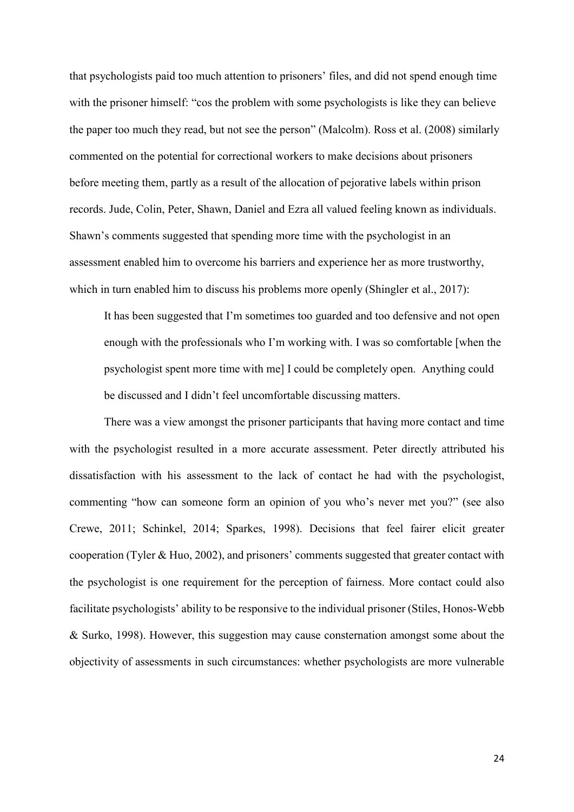that psychologists paid too much attention to prisoners' files, and did not spend enough time with the prisoner himself: "cos the problem with some psychologists is like they can believe the paper too much they read, but not see the person" (Malcolm). Ross et al. (2008) similarly commented on the potential for correctional workers to make decisions about prisoners before meeting them, partly as a result of the allocation of pejorative labels within prison records. Jude, Colin, Peter, Shawn, Daniel and Ezra all valued feeling known as individuals. Shawn's comments suggested that spending more time with the psychologist in an assessment enabled him to overcome his barriers and experience her as more trustworthy, which in turn enabled him to discuss his problems more openly (Shingler et al., 2017):

It has been suggested that I'm sometimes too guarded and too defensive and not open enough with the professionals who I'm working with. I was so comfortable [when the psychologist spent more time with me] I could be completely open. Anything could be discussed and I didn't feel uncomfortable discussing matters.

There was a view amongst the prisoner participants that having more contact and time with the psychologist resulted in a more accurate assessment. Peter directly attributed his dissatisfaction with his assessment to the lack of contact he had with the psychologist, commenting "how can someone form an opinion of you who's never met you?" (see also Crewe, 2011; Schinkel, 2014; Sparkes, 1998). Decisions that feel fairer elicit greater cooperation (Tyler & Huo, 2002), and prisoners' comments suggested that greater contact with the psychologist is one requirement for the perception of fairness. More contact could also facilitate psychologists' ability to be responsive to the individual prisoner (Stiles, Honos-Webb & Surko, 1998). However, this suggestion may cause consternation amongst some about the objectivity of assessments in such circumstances: whether psychologists are more vulnerable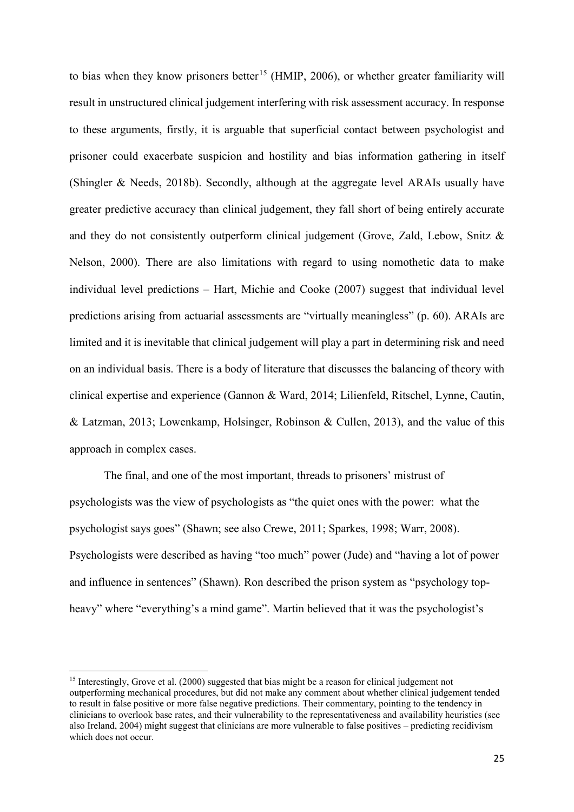to bias when they know prisoners better<sup>[15](#page-24-0)</sup> (HMIP, 2006), or whether greater familiarity will result in unstructured clinical judgement interfering with risk assessment accuracy. In response to these arguments, firstly, it is arguable that superficial contact between psychologist and prisoner could exacerbate suspicion and hostility and bias information gathering in itself (Shingler & Needs, 2018b). Secondly, although at the aggregate level ARAIs usually have greater predictive accuracy than clinical judgement, they fall short of being entirely accurate and they do not consistently outperform clinical judgement (Grove, Zald, Lebow, Snitz & Nelson, 2000). There are also limitations with regard to using nomothetic data to make individual level predictions – Hart, Michie and Cooke (2007) suggest that individual level predictions arising from actuarial assessments are "virtually meaningless" (p. 60). ARAIs are limited and it is inevitable that clinical judgement will play a part in determining risk and need on an individual basis. There is a body of literature that discusses the balancing of theory with clinical expertise and experience (Gannon & Ward, 2014; Lilienfeld, Ritschel, Lynne, Cautin, & Latzman, 2013; Lowenkamp, Holsinger, Robinson & Cullen, 2013), and the value of this approach in complex cases.

The final, and one of the most important, threads to prisoners' mistrust of psychologists was the view of psychologists as "the quiet ones with the power: what the psychologist says goes" (Shawn; see also Crewe, 2011; Sparkes, 1998; Warr, 2008). Psychologists were described as having "too much" power (Jude) and "having a lot of power and influence in sentences" (Shawn). Ron described the prison system as "psychology topheavy" where "everything's a mind game". Martin believed that it was the psychologist's

**.** 

<span id="page-24-0"></span><sup>&</sup>lt;sup>15</sup> Interestingly, Grove et al. (2000) suggested that bias might be a reason for clinical judgement not outperforming mechanical procedures, but did not make any comment about whether clinical judgement tended to result in false positive or more false negative predictions. Their commentary, pointing to the tendency in clinicians to overlook base rates, and their vulnerability to the representativeness and availability heuristics (see also Ireland, 2004) might suggest that clinicians are more vulnerable to false positives – predicting recidivism which does not occur.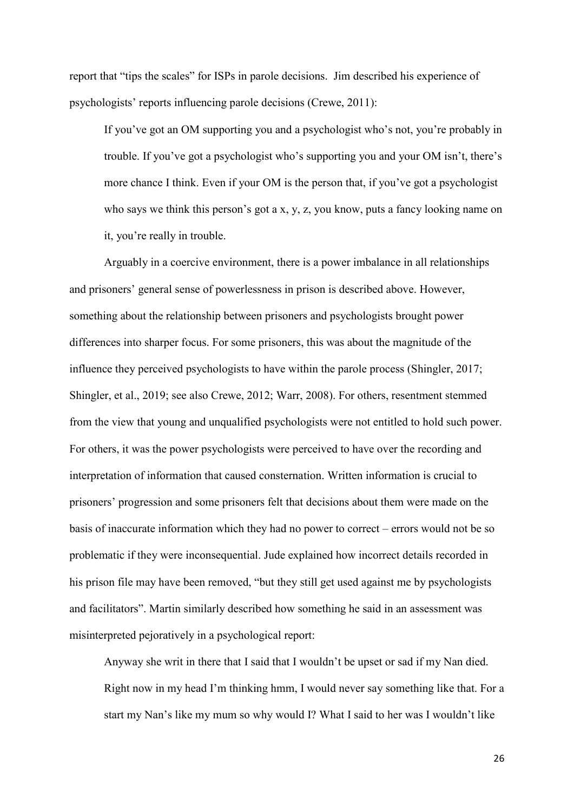report that "tips the scales" for ISPs in parole decisions. Jim described his experience of psychologists' reports influencing parole decisions (Crewe, 2011):

If you've got an OM supporting you and a psychologist who's not, you're probably in trouble. If you've got a psychologist who's supporting you and your OM isn't, there's more chance I think. Even if your OM is the person that, if you've got a psychologist who says we think this person's got a x, y, z, you know, puts a fancy looking name on it, you're really in trouble.

Arguably in a coercive environment, there is a power imbalance in all relationships and prisoners' general sense of powerlessness in prison is described above. However, something about the relationship between prisoners and psychologists brought power differences into sharper focus. For some prisoners, this was about the magnitude of the influence they perceived psychologists to have within the parole process (Shingler, 2017; Shingler, et al., 2019; see also Crewe, 2012; Warr, 2008). For others, resentment stemmed from the view that young and unqualified psychologists were not entitled to hold such power. For others, it was the power psychologists were perceived to have over the recording and interpretation of information that caused consternation. Written information is crucial to prisoners' progression and some prisoners felt that decisions about them were made on the basis of inaccurate information which they had no power to correct – errors would not be so problematic if they were inconsequential. Jude explained how incorrect details recorded in his prison file may have been removed, "but they still get used against me by psychologists and facilitators". Martin similarly described how something he said in an assessment was misinterpreted pejoratively in a psychological report:

Anyway she writ in there that I said that I wouldn't be upset or sad if my Nan died. Right now in my head I'm thinking hmm, I would never say something like that. For a start my Nan's like my mum so why would I? What I said to her was I wouldn't like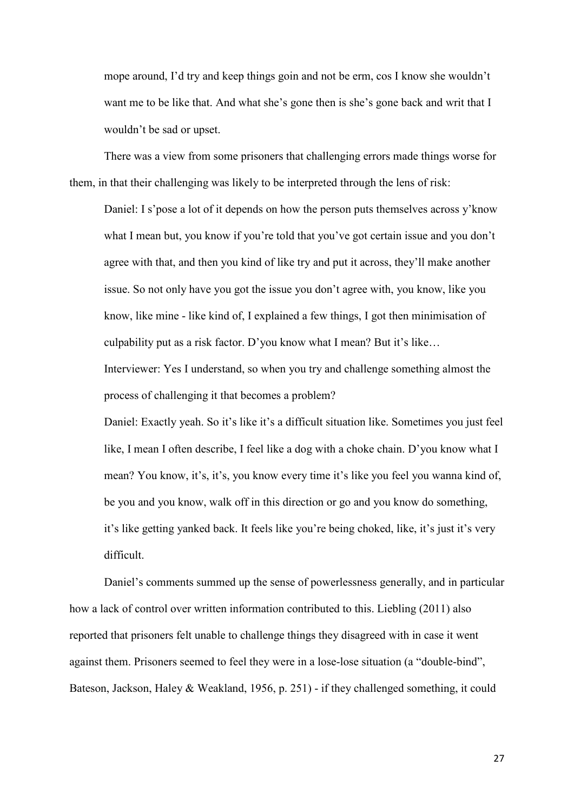mope around, I'd try and keep things goin and not be erm, cos I know she wouldn't want me to be like that. And what she's gone then is she's gone back and writ that I wouldn't be sad or upset.

There was a view from some prisoners that challenging errors made things worse for them, in that their challenging was likely to be interpreted through the lens of risk:

Daniel: I s'pose a lot of it depends on how the person puts themselves across y'know what I mean but, you know if you're told that you've got certain issue and you don't agree with that, and then you kind of like try and put it across, they'll make another issue. So not only have you got the issue you don't agree with, you know, like you know, like mine - like kind of, I explained a few things, I got then minimisation of culpability put as a risk factor. D'you know what I mean? But it's like…

Interviewer: Yes I understand, so when you try and challenge something almost the process of challenging it that becomes a problem?

Daniel: Exactly yeah. So it's like it's a difficult situation like. Sometimes you just feel like, I mean I often describe, I feel like a dog with a choke chain. D'you know what I mean? You know, it's, it's, you know every time it's like you feel you wanna kind of, be you and you know, walk off in this direction or go and you know do something, it's like getting yanked back. It feels like you're being choked, like, it's just it's very difficult.

Daniel's comments summed up the sense of powerlessness generally, and in particular how a lack of control over written information contributed to this. Liebling (2011) also reported that prisoners felt unable to challenge things they disagreed with in case it went against them. Prisoners seemed to feel they were in a lose-lose situation (a "double-bind", Bateson, Jackson, Haley & Weakland, 1956, p. 251) - if they challenged something, it could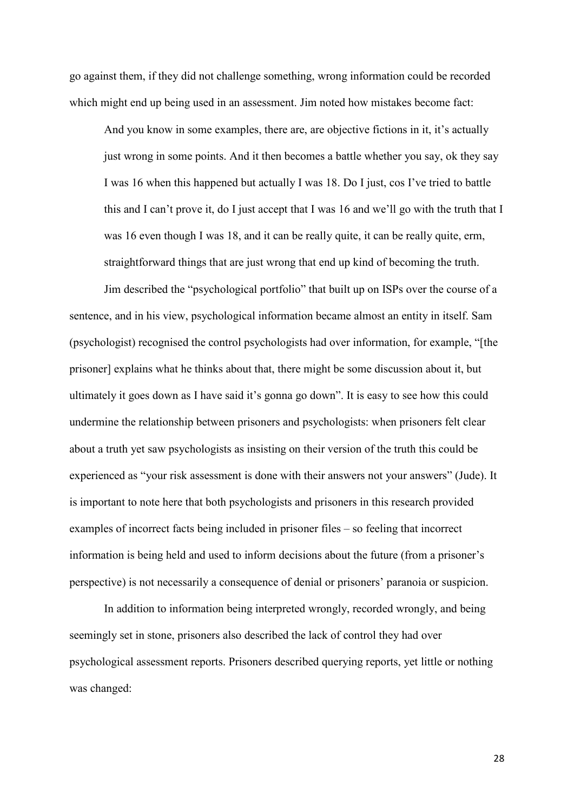go against them, if they did not challenge something, wrong information could be recorded which might end up being used in an assessment. Jim noted how mistakes become fact:

And you know in some examples, there are, are objective fictions in it, it's actually just wrong in some points. And it then becomes a battle whether you say, ok they say I was 16 when this happened but actually I was 18. Do I just, cos I've tried to battle this and I can't prove it, do I just accept that I was 16 and we'll go with the truth that I was 16 even though I was 18, and it can be really quite, it can be really quite, erm, straightforward things that are just wrong that end up kind of becoming the truth.

Jim described the "psychological portfolio" that built up on ISPs over the course of a sentence, and in his view, psychological information became almost an entity in itself. Sam (psychologist) recognised the control psychologists had over information, for example, "[the prisoner] explains what he thinks about that, there might be some discussion about it, but ultimately it goes down as I have said it's gonna go down". It is easy to see how this could undermine the relationship between prisoners and psychologists: when prisoners felt clear about a truth yet saw psychologists as insisting on their version of the truth this could be experienced as "your risk assessment is done with their answers not your answers" (Jude). It is important to note here that both psychologists and prisoners in this research provided examples of incorrect facts being included in prisoner files – so feeling that incorrect information is being held and used to inform decisions about the future (from a prisoner's perspective) is not necessarily a consequence of denial or prisoners' paranoia or suspicion.

In addition to information being interpreted wrongly, recorded wrongly, and being seemingly set in stone, prisoners also described the lack of control they had over psychological assessment reports. Prisoners described querying reports, yet little or nothing was changed: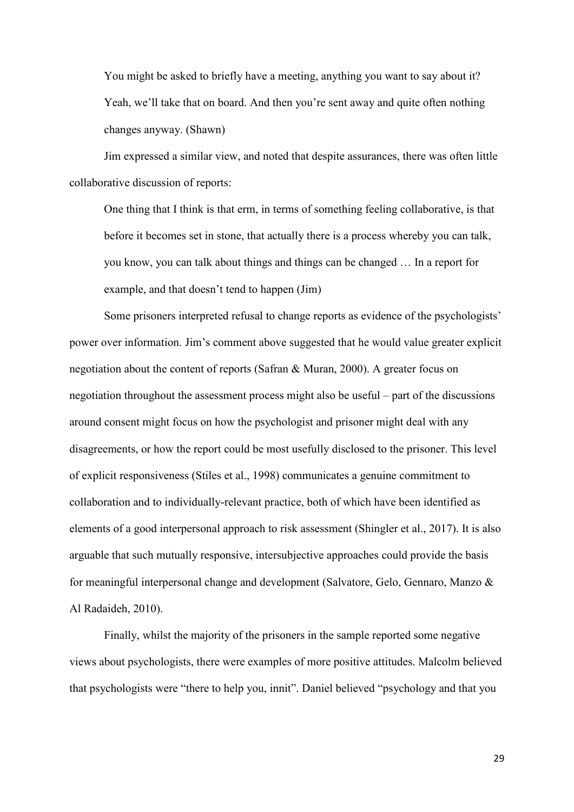You might be asked to briefly have a meeting, anything you want to say about it? Yeah, we'll take that on board. And then you're sent away and quite often nothing changes anyway. (Shawn)

Jim expressed a similar view, and noted that despite assurances, there was often little collaborative discussion of reports:

One thing that I think is that erm, in terms of something feeling collaborative, is that before it becomes set in stone, that actually there is a process whereby you can talk, you know, you can talk about things and things can be changed … In a report for example, and that doesn't tend to happen (Jim)

Some prisoners interpreted refusal to change reports as evidence of the psychologists' power over information. Jim's comment above suggested that he would value greater explicit negotiation about the content of reports (Safran & Muran, 2000). A greater focus on negotiation throughout the assessment process might also be useful – part of the discussions around consent might focus on how the psychologist and prisoner might deal with any disagreements, or how the report could be most usefully disclosed to the prisoner. This level of explicit responsiveness (Stiles et al., 1998) communicates a genuine commitment to collaboration and to individually-relevant practice, both of which have been identified as elements of a good interpersonal approach to risk assessment (Shingler et al., 2017). It is also arguable that such mutually responsive, intersubjective approaches could provide the basis for meaningful interpersonal change and development (Salvatore, Gelo, Gennaro, Manzo & Al Radaideh, 2010).

Finally, whilst the majority of the prisoners in the sample reported some negative views about psychologists, there were examples of more positive attitudes. Malcolm believed that psychologists were "there to help you, innit". Daniel believed "psychology and that you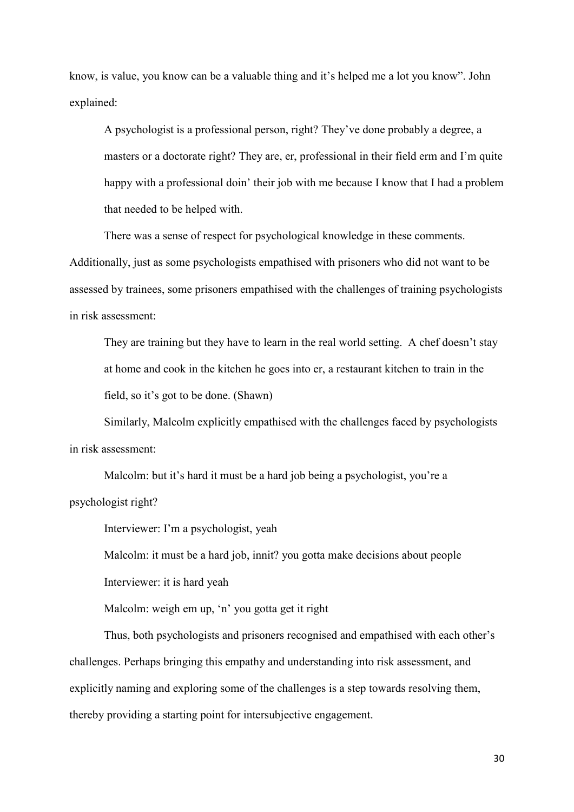know, is value, you know can be a valuable thing and it's helped me a lot you know". John explained:

A psychologist is a professional person, right? They've done probably a degree, a masters or a doctorate right? They are, er, professional in their field erm and I'm quite happy with a professional doin' their job with me because I know that I had a problem that needed to be helped with.

There was a sense of respect for psychological knowledge in these comments.

Additionally, just as some psychologists empathised with prisoners who did not want to be assessed by trainees, some prisoners empathised with the challenges of training psychologists in risk assessment:

They are training but they have to learn in the real world setting. A chef doesn't stay at home and cook in the kitchen he goes into er, a restaurant kitchen to train in the field, so it's got to be done. (Shawn)

Similarly, Malcolm explicitly empathised with the challenges faced by psychologists in risk assessment:

Malcolm: but it's hard it must be a hard job being a psychologist, you're a psychologist right?

Interviewer: I'm a psychologist, yeah

Malcolm: it must be a hard job, innit? you gotta make decisions about people

Interviewer: it is hard yeah

Malcolm: weigh em up, 'n' you gotta get it right

Thus, both psychologists and prisoners recognised and empathised with each other's challenges. Perhaps bringing this empathy and understanding into risk assessment, and explicitly naming and exploring some of the challenges is a step towards resolving them, thereby providing a starting point for intersubjective engagement.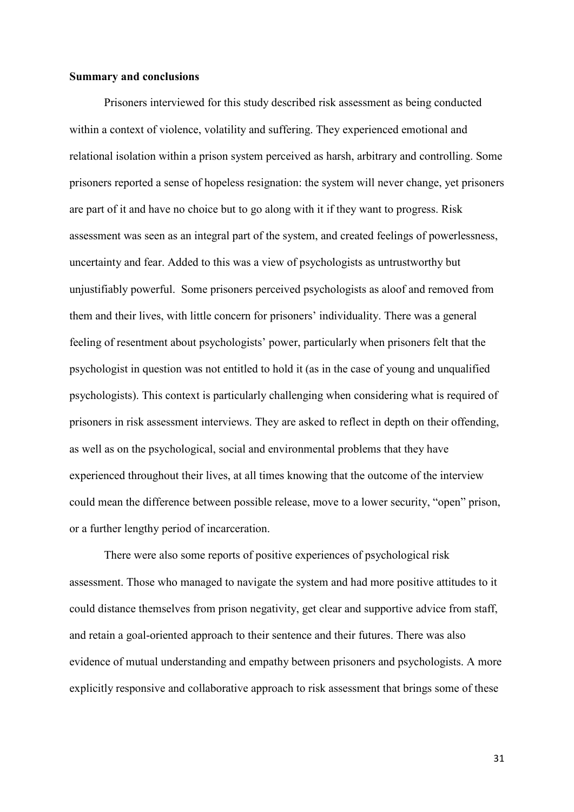#### **Summary and conclusions**

Prisoners interviewed for this study described risk assessment as being conducted within a context of violence, volatility and suffering. They experienced emotional and relational isolation within a prison system perceived as harsh, arbitrary and controlling. Some prisoners reported a sense of hopeless resignation: the system will never change, yet prisoners are part of it and have no choice but to go along with it if they want to progress. Risk assessment was seen as an integral part of the system, and created feelings of powerlessness, uncertainty and fear. Added to this was a view of psychologists as untrustworthy but unjustifiably powerful. Some prisoners perceived psychologists as aloof and removed from them and their lives, with little concern for prisoners' individuality. There was a general feeling of resentment about psychologists' power, particularly when prisoners felt that the psychologist in question was not entitled to hold it (as in the case of young and unqualified psychologists). This context is particularly challenging when considering what is required of prisoners in risk assessment interviews. They are asked to reflect in depth on their offending, as well as on the psychological, social and environmental problems that they have experienced throughout their lives, at all times knowing that the outcome of the interview could mean the difference between possible release, move to a lower security, "open" prison, or a further lengthy period of incarceration.

There were also some reports of positive experiences of psychological risk assessment. Those who managed to navigate the system and had more positive attitudes to it could distance themselves from prison negativity, get clear and supportive advice from staff, and retain a goal-oriented approach to their sentence and their futures. There was also evidence of mutual understanding and empathy between prisoners and psychologists. A more explicitly responsive and collaborative approach to risk assessment that brings some of these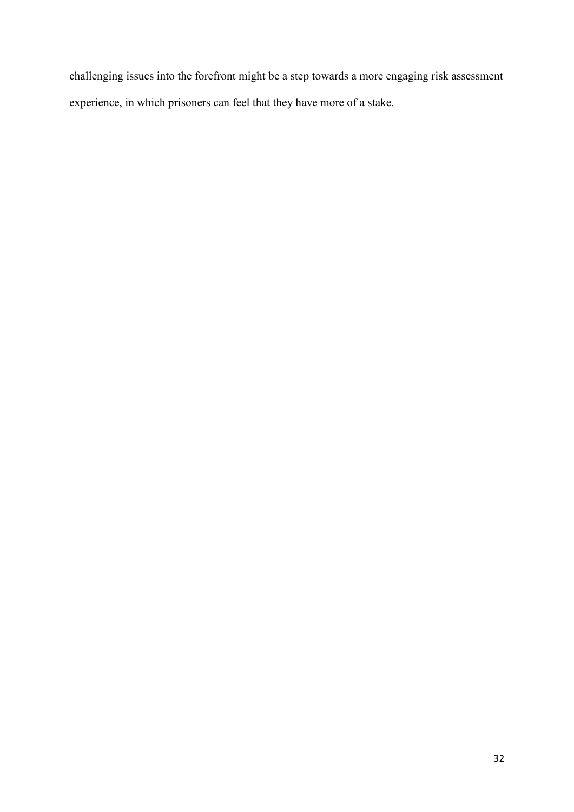challenging issues into the forefront might be a step towards a more engaging risk assessment experience, in which prisoners can feel that they have more of a stake.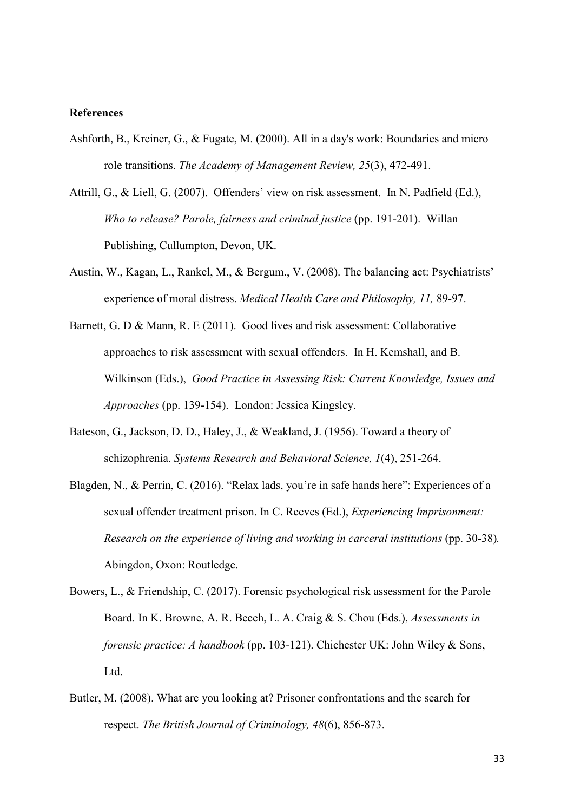# **References**

- Ashforth, B., Kreiner, G., & Fugate, M. (2000). All in a day's work: Boundaries and micro role transitions. *The Academy of Management Review, 25*(3), 472-491.
- Attrill, G., & Liell, G. (2007). Offenders' view on risk assessment. In N. Padfield (Ed.), *Who to release? Parole, fairness and criminal justice (pp. 191-201).* Willan Publishing, Cullumpton, Devon, UK.
- Austin, W., Kagan, L., Rankel, M., & Bergum., V. (2008). The balancing act: Psychiatrists' experience of moral distress. *Medical Health Care and Philosophy, 11,* 89-97.
- Barnett, G. D & Mann, R. E (2011). Good lives and risk assessment: Collaborative approaches to risk assessment with sexual offenders. In H. Kemshall, and B. Wilkinson (Eds.), *Good Practice in Assessing Risk: Current Knowledge, Issues and Approaches* (pp. 139-154). London: Jessica Kingsley.
- Bateson, G., Jackson, D. D., Haley, J., & Weakland, J. (1956). Toward a theory of schizophrenia. *Systems Research and Behavioral Science, 1*(4), 251-264.
- Blagden, N., & Perrin, C. (2016). "Relax lads, you're in safe hands here": Experiences of a sexual offender treatment prison. In C. Reeves (Ed.), *Experiencing Imprisonment: Research on the experience of living and working in carceral institutions (pp. 30-38).* Abingdon, Oxon: Routledge.
- Bowers, L., & Friendship, C. (2017). Forensic psychological risk assessment for the Parole Board. In K. Browne, A. R. Beech, L. A. Craig & S. Chou (Eds.), *Assessments in forensic practice: A handbook* (pp. 103-121). Chichester UK: John Wiley & Sons, Ltd.
- Butler, M. (2008). What are you looking at? Prisoner confrontations and the search for respect. *The British Journal of Criminology, 48*(6), 856-873.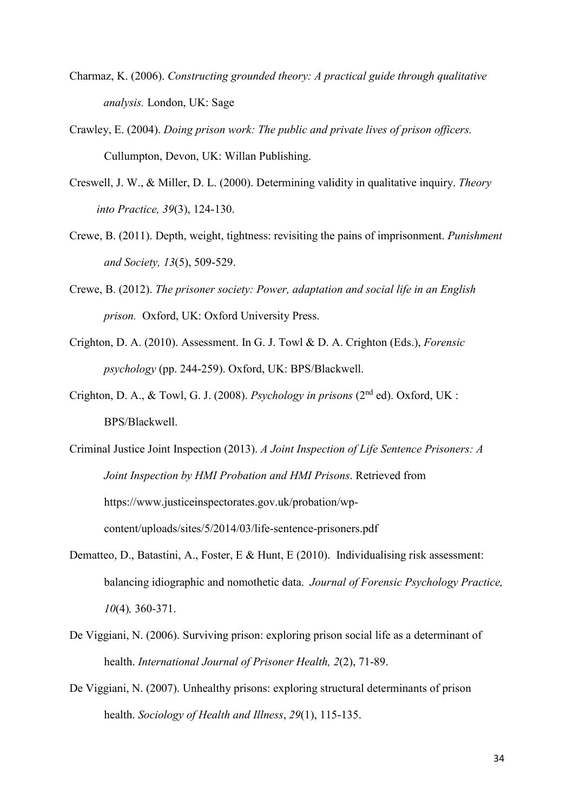- Charmaz, K. (2006). *Constructing grounded theory: A practical guide through qualitative analysis.* London, UK: Sage
- Crawley, E. (2004). *Doing prison work: The public and private lives of prison officers.* Cullumpton, Devon, UK: Willan Publishing.
- Creswell, J. W., & Miller, D. L. (2000). Determining validity in qualitative inquiry. *Theory into Practice, 39*(3), 124-130.
- Crewe, B. (2011). Depth, weight, tightness: revisiting the pains of imprisonment. *Punishment and Society, 13*(5), 509-529.
- Crewe, B. (2012). *The prisoner society: Power, adaptation and social life in an English prison.* Oxford, UK: Oxford University Press.
- Crighton, D. A. (2010). Assessment. In G. J. Towl & D. A. Crighton (Eds.), *Forensic psychology* (pp. 244-259). Oxford, UK: BPS/Blackwell.
- Crighton, D. A., & Towl, G. J. (2008). *Psychology in prisons* (2nd ed). Oxford, UK : BPS/Blackwell.
- Criminal Justice Joint Inspection (2013). *A Joint Inspection of Life Sentence Prisoners: A Joint Inspection by HMI Probation and HMI Prisons*. Retrieved from https://www.justiceinspectorates.gov.uk/probation/wpcontent/uploads/sites/5/2014/03/life-sentence-prisoners.pdf
- Dematteo, D., Batastini, A., Foster, E & Hunt, E (2010). Individualising risk assessment: balancing idiographic and nomothetic data. *Journal of Forensic Psychology Practice, 10*(4)*,* 360-371.
- De Viggiani, N. (2006). Surviving prison: exploring prison social life as a determinant of health. *International Journal of Prisoner Health, 2*(2), 71-89.
- De Viggiani, N. (2007). Unhealthy prisons: exploring structural determinants of prison health. *Sociology of Health and Illness*, *29*(1), 115-135.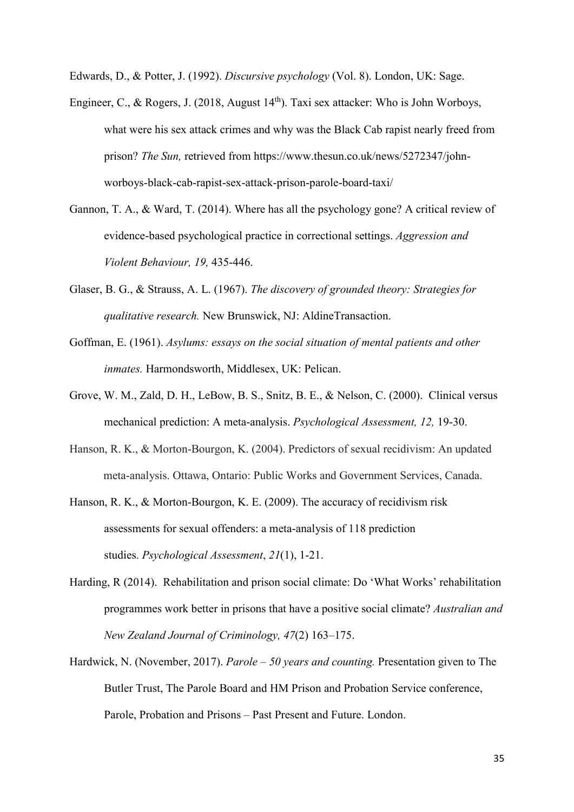Edwards, D., & Potter, J. (1992). *Discursive psychology* (Vol. 8). London, UK: Sage.

- Engineer, C., & Rogers, J. (2018, August 14<sup>th</sup>). Taxi sex attacker: Who is John Worboys, what were his sex attack crimes and why was the Black Cab rapist nearly freed from prison? *The Sun,* retrieved from https://www.thesun.co.uk/news/5272347/johnworboys-black-cab-rapist-sex-attack-prison-parole-board-taxi/
- Gannon, T. A., & Ward, T. (2014). Where has all the psychology gone? A critical review of evidence-based psychological practice in correctional settings. *Aggression and Violent Behaviour, 19,* 435-446.
- Glaser, B. G., & Strauss, A. L. (1967). *The discovery of grounded theory: Strategies for qualitative research.* New Brunswick, NJ: AldineTransaction.
- Goffman, E. (1961). *Asylums: essays on the social situation of mental patients and other inmates.* Harmondsworth, Middlesex, UK: Pelican.
- Grove, W. M., Zald, D. H., LeBow, B. S., Snitz, B. E., & Nelson, C. (2000). Clinical versus mechanical prediction: A meta-analysis. *Psychological Assessment, 12,* 19-30.
- Hanson, R. K., & Morton-Bourgon, K. (2004). Predictors of sexual recidivism: An updated meta-analysis. Ottawa, Ontario: Public Works and Government Services, Canada.
- Hanson, R. K., & Morton-Bourgon, K. E. (2009). The accuracy of recidivism risk assessments for sexual offenders: a meta-analysis of 118 prediction studies. *Psychological Assessment*, *21*(1), 1-21.
- Harding, R (2014). Rehabilitation and prison social climate: Do 'What Works' rehabilitation programmes work better in prisons that have a positive social climate? *Australian and New Zealand Journal of Criminology, 47*(2) 163–175.
- Hardwick, N. (November, 2017). *Parole – 50 years and counting.* Presentation given to The Butler Trust, The Parole Board and HM Prison and Probation Service conference, Parole, Probation and Prisons – Past Present and Future. London.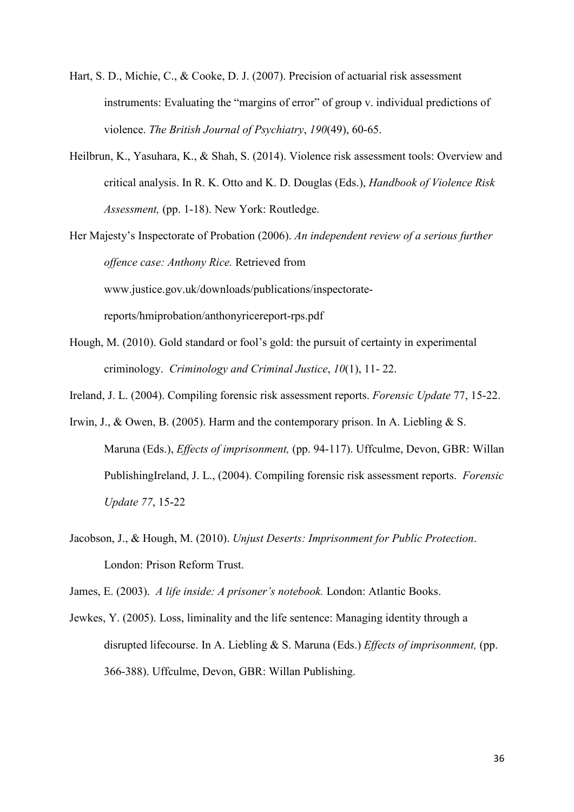- Hart, S. D., Michie, C., & Cooke, D. J. (2007). Precision of actuarial risk assessment instruments: Evaluating the "margins of error" of group v. individual predictions of violence. *The British Journal of Psychiatry*, *190*(49), 60-65.
- Heilbrun, K., Yasuhara, K., & Shah, S. (2014). Violence risk assessment tools: Overview and critical analysis. In R. K. Otto and K. D. Douglas (Eds.), *Handbook of Violence Risk Assessment,* (pp. 1-18). New York: Routledge.
- Her Majesty's Inspectorate of Probation (2006). *An independent review of a serious further offence case: Anthony Rice.* Retrieved from www.justice.gov.uk/downloads/publications/inspectoratereports/hmiprobation/anthonyricereport-rps.pdf
- Hough, M. (2010). Gold standard or fool's gold: the pursuit of certainty in experimental criminology. *Criminology and Criminal Justice*, *10*(1), 11- 22.
- Ireland, J. L. (2004). Compiling forensic risk assessment reports. *Forensic Update* 77, 15-22.
- Irwin, J., & Owen, B. (2005). Harm and the contemporary prison. In A. Liebling & S. Maruna (Eds.), *Effects of imprisonment,* (pp. 94-117). Uffculme, Devon, GBR: Willan PublishingIreland, J. L., (2004). Compiling forensic risk assessment reports. *Forensic Update 77*, 15-22
- Jacobson, J., & Hough, M. (2010). *Unjust Deserts: Imprisonment for Public Protection*. London: Prison Reform Trust.

James, E. (2003). *A life inside: A prisoner's notebook.* London: Atlantic Books.

Jewkes, Y. (2005). Loss, liminality and the life sentence: Managing identity through a disrupted lifecourse. In A. Liebling & S. Maruna (Eds.) *Effects of imprisonment,* (pp. 366-388). Uffculme, Devon, GBR: Willan Publishing.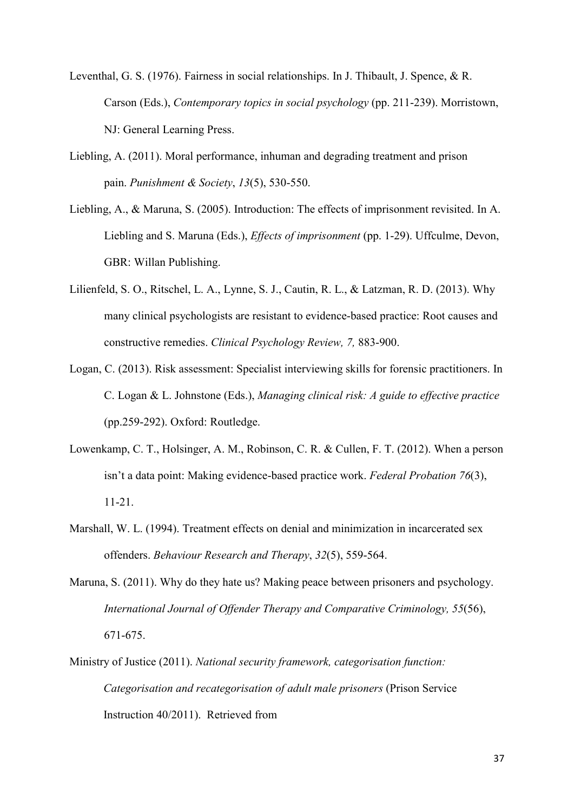- Leventhal, G. S. (1976). Fairness in social relationships. In J. Thibault, J. Spence, & R. Carson (Eds.), *Contemporary topics in social psychology* (pp. 211-239). Morristown, NJ: General Learning Press.
- Liebling, A. (2011). Moral performance, inhuman and degrading treatment and prison pain. *Punishment & Society*, *13*(5), 530-550.
- Liebling, A., & Maruna, S. (2005). Introduction: The effects of imprisonment revisited. In A. Liebling and S. Maruna (Eds.), *Effects of imprisonment* (pp. 1-29). Uffculme, Devon, GBR: Willan Publishing.
- Lilienfeld, S. O., Ritschel, L. A., Lynne, S. J., Cautin, R. L., & Latzman, R. D. (2013). Why many clinical psychologists are resistant to evidence-based practice: Root causes and constructive remedies. *Clinical Psychology Review, 7,* 883-900.
- Logan, C. (2013). Risk assessment: Specialist interviewing skills for forensic practitioners. In C. Logan & L. Johnstone (Eds.), *Managing clinical risk: A guide to effective practice* (pp.259-292). Oxford: Routledge.
- Lowenkamp, C. T., Holsinger, A. M., Robinson, C. R. & Cullen, F. T. (2012). When a person isn't a data point: Making evidence-based practice work. *Federal Probation 76*(3), 11-21.
- Marshall, W. L. (1994). Treatment effects on denial and minimization in incarcerated sex offenders. *Behaviour Research and Therapy*, *32*(5), 559-564.
- Maruna, S. (2011). Why do they hate us? Making peace between prisoners and psychology. *International Journal of Offender Therapy and Comparative Criminology, 55*(56), 671-675.
- Ministry of Justice (2011). *National security framework, categorisation function: Categorisation and recategorisation of adult male prisoners* (Prison Service Instruction 40/2011). Retrieved from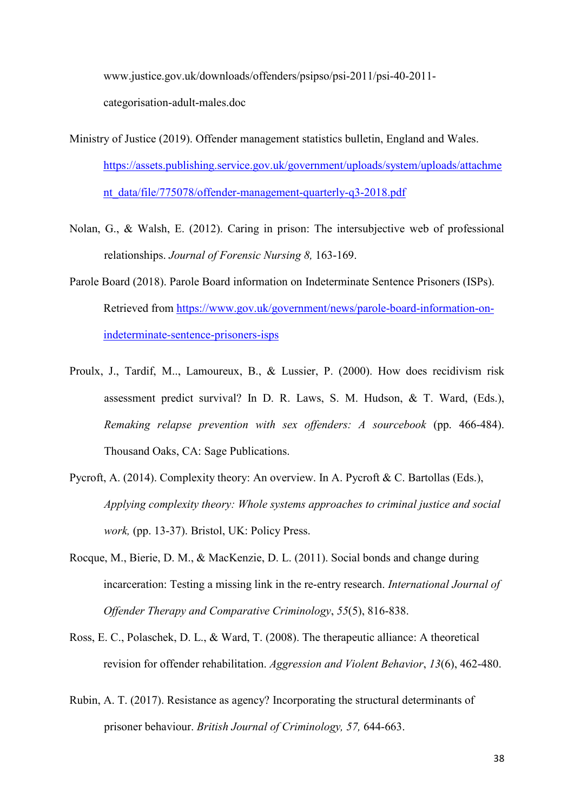www.justice.gov.uk/downloads/offenders/psipso/psi-2011/psi-40-2011 categorisation-adult-males.doc

- Ministry of Justice (2019). Offender management statistics bulletin, England and Wales. [https://assets.publishing.service.gov.uk/government/uploads/system/uploads/attachme](https://assets.publishing.service.gov.uk/government/uploads/system/uploads/attachment_data/file/775078/offender-management-quarterly-q3-2018.pdf) [nt\\_data/file/775078/offender-management-quarterly-q3-2018.pdf](https://assets.publishing.service.gov.uk/government/uploads/system/uploads/attachment_data/file/775078/offender-management-quarterly-q3-2018.pdf)
- Nolan, G., & Walsh, E. (2012). Caring in prison: The intersubjective web of professional relationships. *Journal of Forensic Nursing 8,* 163-169.
- Parole Board (2018). Parole Board information on Indeterminate Sentence Prisoners (ISPs). Retrieved from [https://www.gov.uk/government/news/parole-board-information-on](https://www.gov.uk/government/news/parole-board-information-on-indeterminate-sentence-prisoners-isps)[indeterminate-sentence-prisoners-isps](https://www.gov.uk/government/news/parole-board-information-on-indeterminate-sentence-prisoners-isps)
- Proulx, J., Tardif, M.., Lamoureux, B., & Lussier, P. (2000). How does recidivism risk assessment predict survival? In D. R. Laws, S. M. Hudson, & T. Ward, (Eds.), *Remaking relapse prevention with sex offenders: A sourcebook* (pp. 466-484). Thousand Oaks, CA: Sage Publications.
- Pycroft, A. (2014). Complexity theory: An overview. In A. Pycroft & C. Bartollas (Eds.), *Applying complexity theory: Whole systems approaches to criminal justice and social work,* (pp. 13-37). Bristol, UK: Policy Press.
- Rocque, M., Bierie, D. M., & MacKenzie, D. L. (2011). Social bonds and change during incarceration: Testing a missing link in the re-entry research. *International Journal of Offender Therapy and Comparative Criminology*, *55*(5), 816-838.
- Ross, E. C., Polaschek, D. L., & Ward, T. (2008). The therapeutic alliance: A theoretical revision for offender rehabilitation. *Aggression and Violent Behavior*, *13*(6), 462-480.
- Rubin, A. T. (2017). Resistance as agency? Incorporating the structural determinants of prisoner behaviour. *British Journal of Criminology, 57,* 644-663.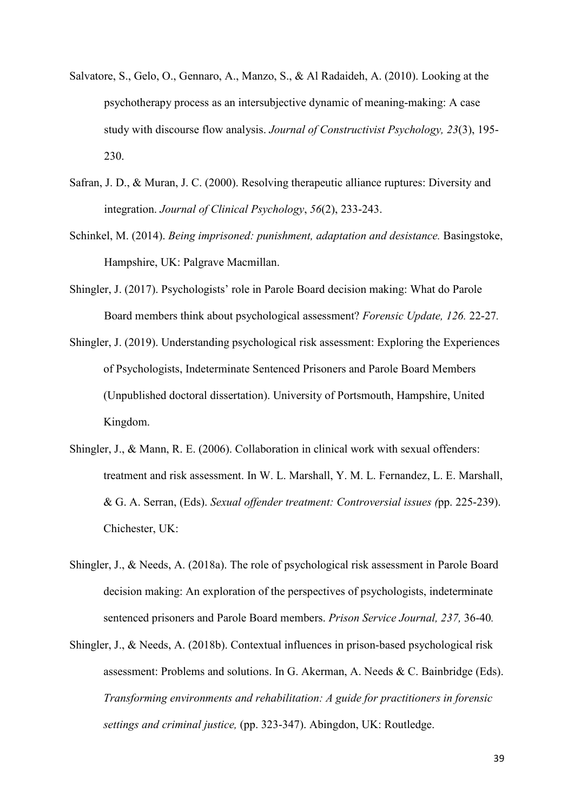- Salvatore, S., Gelo, O., Gennaro, A., Manzo, S., & Al Radaideh, A. (2010). Looking at the psychotherapy process as an intersubjective dynamic of meaning-making: A case study with discourse flow analysis. *Journal of Constructivist Psychology, 23*(3), 195- 230.
- Safran, J. D., & Muran, J. C. (2000). Resolving therapeutic alliance ruptures: Diversity and integration. *Journal of Clinical Psychology*, *56*(2), 233-243.
- Schinkel, M. (2014). *Being imprisoned: punishment, adaptation and desistance.* Basingstoke, Hampshire, UK: Palgrave Macmillan.
- Shingler, J. (2017). Psychologists' role in Parole Board decision making: What do Parole Board members think about psychological assessment? *Forensic Update, 126.* 22-27*.*
- Shingler, J. (2019). Understanding psychological risk assessment: Exploring the Experiences of Psychologists, Indeterminate Sentenced Prisoners and Parole Board Members (Unpublished doctoral dissertation). University of Portsmouth, Hampshire, United Kingdom.
- Shingler, J., & Mann, R. E. (2006). Collaboration in clinical work with sexual offenders: treatment and risk assessment. In W. L. Marshall, Y. M. L. Fernandez, L. E. Marshall, & G. A. Serran, (Eds). *Sexual offender treatment: Controversial issues (*pp. 225-239). Chichester, UK:
- Shingler, J., & Needs, A. (2018a). The role of psychological risk assessment in Parole Board decision making: An exploration of the perspectives of psychologists, indeterminate sentenced prisoners and Parole Board members. *Prison Service Journal, 237,* 36-40*.*
- Shingler, J., & Needs, A. (2018b). Contextual influences in prison-based psychological risk assessment: Problems and solutions. In G. Akerman, A. Needs & C. Bainbridge (Eds). *Transforming environments and rehabilitation: A guide for practitioners in forensic settings and criminal justice,* (pp. 323-347). Abingdon, UK: Routledge.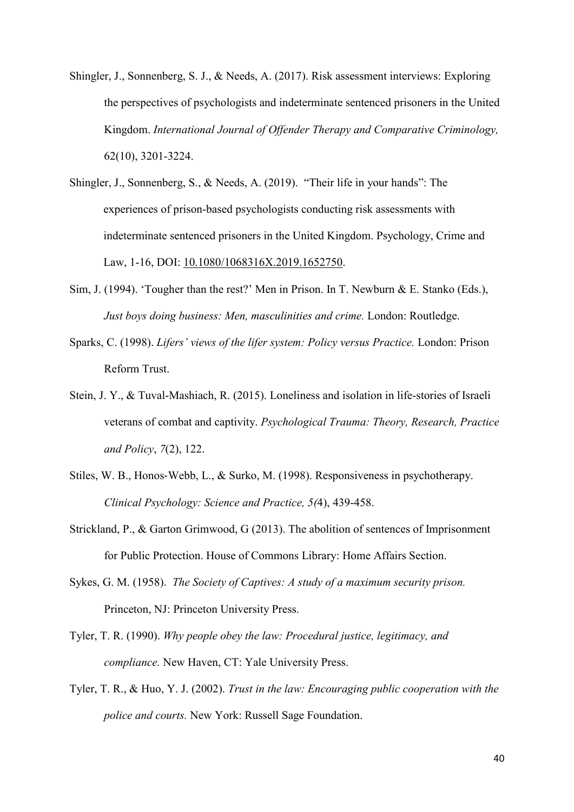- Shingler, J., Sonnenberg, S. J., & Needs, A. (2017). Risk assessment interviews: Exploring the perspectives of psychologists and indeterminate sentenced prisoners in the United Kingdom. *International Journal of Offender Therapy and Comparative Criminology,* 62(10), 3201-3224.
- Shingler, J., Sonnenberg, S., & Needs, A. (2019). "Their life in your hands": The experiences of prison-based psychologists conducting risk assessments with indeterminate sentenced prisoners in the United Kingdom. Psychology, Crime and Law, 1-16, DOI: [10.1080/1068316X.2019.1652750.](https://doi.org/10.1080/1068316X.2019.1652750)
- Sim, J. (1994). 'Tougher than the rest?' Men in Prison. In T. Newburn & E. Stanko (Eds.), *Just boys doing business: Men, masculinities and crime.* London: Routledge.
- Sparks, C. (1998). *Lifers' views of the lifer system: Policy versus Practice.* London: Prison Reform Trust.
- Stein, J. Y., & Tuval-Mashiach, R. (2015). Loneliness and isolation in life-stories of Israeli veterans of combat and captivity. *Psychological Trauma: Theory, Research, Practice and Policy*, *7*(2), 122.
- Stiles, W. B., Honos‐Webb, L., & Surko, M. (1998). Responsiveness in psychotherapy. *Clinical Psychology: Science and Practice, 5(*4), 439-458.
- Strickland, P., & Garton Grimwood, G (2013). The abolition of sentences of Imprisonment for Public Protection. House of Commons Library: Home Affairs Section.
- Sykes, G. M. (1958). *The Society of Captives: A study of a maximum security prison.* Princeton, NJ: Princeton University Press.
- Tyler, T. R. (1990). *Why people obey the law: Procedural justice, legitimacy, and compliance.* New Haven, CT: Yale University Press.
- Tyler, T. R., & Huo, Y. J. (2002). *Trust in the law: Encouraging public cooperation with the police and courts.* New York: Russell Sage Foundation.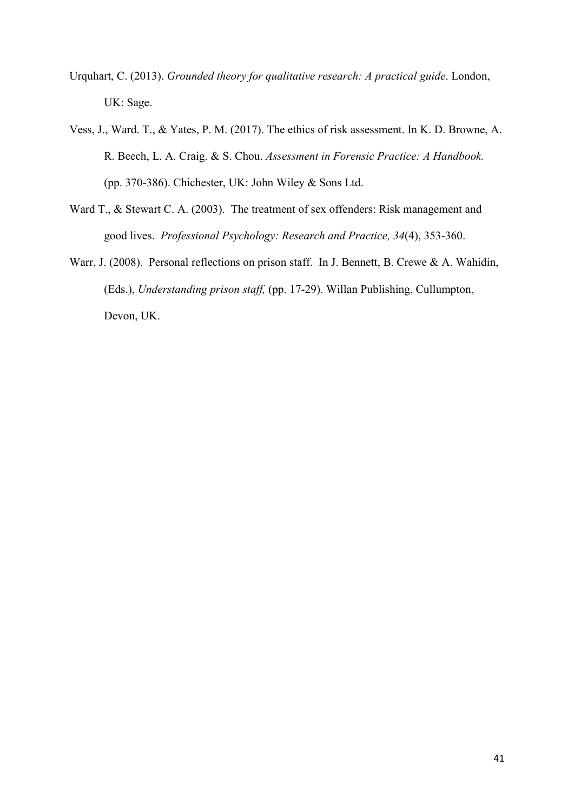- Urquhart, C. (2013). *Grounded theory for qualitative research: A practical guide*. London, UK: Sage.
- Vess, J., Ward. T., & Yates, P. M. (2017). The ethics of risk assessment. In K. D. Browne, A. R. Beech, L. A. Craig. & S. Chou. *Assessment in Forensic Practice: A Handbook.*  (pp. 370-386). Chichester, UK: John Wiley & Sons Ltd.
- Ward T., & Stewart C. A. (2003). The treatment of sex offenders: Risk management and good lives. *Professional Psychology: Research and Practice, 34*(4), 353-360.
- Warr, J. (2008). Personal reflections on prison staff. In J. Bennett, B. Crewe & A. Wahidin, (Eds.), *Understanding prison staff,* (pp. 17-29). Willan Publishing, Cullumpton, Devon, UK.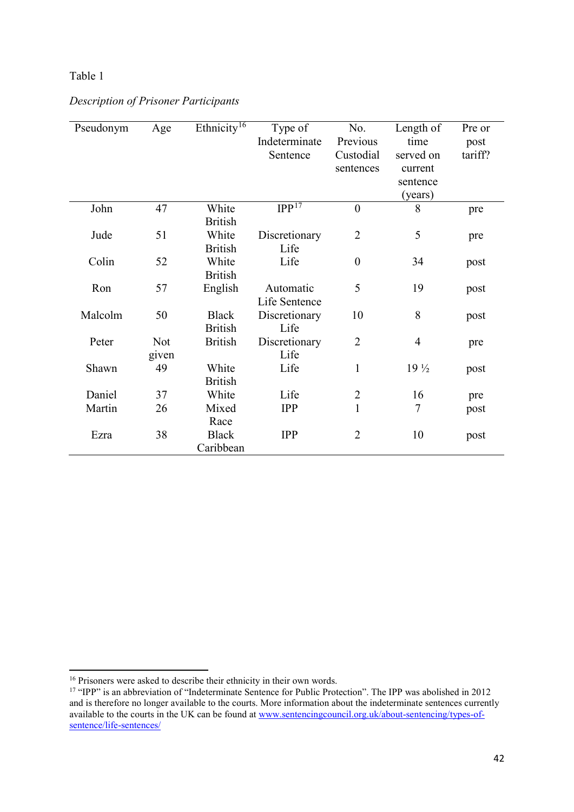# Table 1

| Pseudonym | Age   | Ethnicity <sup>16</sup> | Type of           | No.              | Length of       | Pre or  |
|-----------|-------|-------------------------|-------------------|------------------|-----------------|---------|
|           |       |                         | Indeterminate     | Previous         | time            | post    |
|           |       |                         | Sentence          | Custodial        | served on       | tariff? |
|           |       |                         |                   | sentences        | current         |         |
|           |       |                         |                   |                  | sentence        |         |
|           |       |                         |                   |                  | (years)         |         |
| John      | 47    | White                   | IPP <sup>17</sup> | $\boldsymbol{0}$ | 8               | pre     |
|           |       | <b>British</b>          |                   |                  |                 |         |
| Jude      | 51    | White                   | Discretionary     | $\overline{2}$   | 5               | pre     |
|           |       | <b>British</b>          | Life              |                  |                 |         |
| Colin     | 52    | White                   | Life              | $\boldsymbol{0}$ | 34              | post    |
|           |       | <b>British</b>          |                   |                  |                 |         |
| Ron       | 57    | English                 | Automatic         | 5                | 19              | post    |
|           |       |                         | Life Sentence     |                  |                 |         |
| Malcolm   | 50    | <b>Black</b>            | Discretionary     | 10               | 8               | post    |
|           |       | <b>British</b>          | Life              |                  |                 |         |
| Peter     | Not   | <b>British</b>          | Discretionary     | $\overline{2}$   | 4               | pre     |
|           | given |                         | Life              |                  |                 |         |
| Shawn     | 49    | White                   | Life              | $\mathbf{1}$     | $19\frac{1}{2}$ | post    |
|           |       | <b>British</b>          |                   |                  |                 |         |
| Daniel    | 37    | White                   | Life              | $\overline{2}$   | 16              | pre     |
| Martin    | 26    | Mixed                   | <b>IPP</b>        | $\mathbf{1}$     | $\tau$          | post    |
|           |       | Race                    |                   |                  |                 |         |
| Ezra      | 38    | <b>Black</b>            | <b>IPP</b>        | $\overline{2}$   | 10              | post    |
|           |       | Caribbean               |                   |                  |                 |         |

# *Description of Prisoner Participants*

<span id="page-41-0"></span><sup>&</sup>lt;sup>16</sup> Prisoners were asked to describe their ethnicity in their own words.

<span id="page-41-1"></span><sup>&</sup>lt;sup>17</sup> "IPP" is an abbreviation of "Indeterminate Sentence for Public Protection". The IPP was abolished in 2012 and is therefore no longer available to the courts. More information about the indeterminate sentences currently available to the courts in the UK can be found at [www.sentencingcouncil.org.uk/about-sentencing/types-of](http://www.sentencingcouncil.org.uk/about-sentencing/types-of-sentence/life-sentences/)[sentence/life-sentences/](http://www.sentencingcouncil.org.uk/about-sentencing/types-of-sentence/life-sentences/)